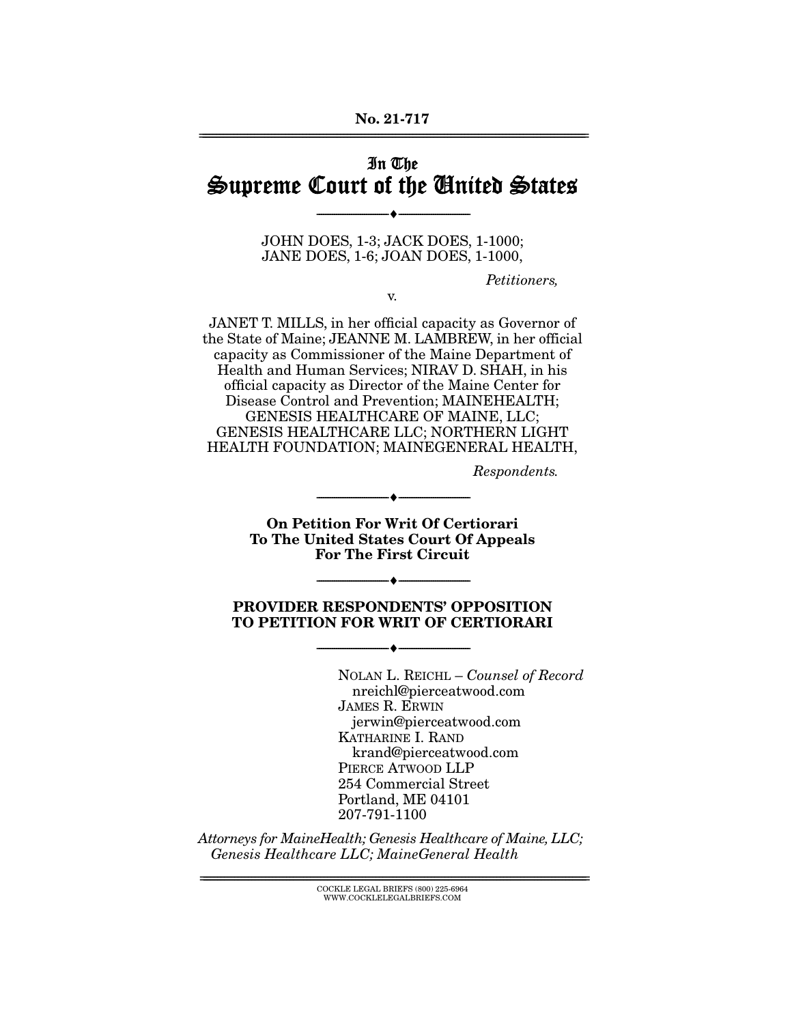## In The Supreme Court of the United States

JOHN DOES, 1-3; JACK DOES, 1-1000; JANE DOES, 1-6; JOAN DOES, 1-1000,

--------------------------------- ♦ ---------------------------------

Petitioners,

v.

JANET T. MILLS, in her official capacity as Governor of the State of Maine; JEANNE M. LAMBREW, in her official capacity as Commissioner of the Maine Department of Health and Human Services; NIRAV D. SHAH, in his official capacity as Director of the Maine Center for Disease Control and Prevention; MAINEHEALTH; GENESIS HEALTHCARE OF MAINE, LLC; GENESIS HEALTHCARE LLC; NORTHERN LIGHT HEALTH FOUNDATION; MAINEGENERAL HEALTH,

Respondents.

**On Petition For Writ Of Certiorari To The United States Court Of Appeals For The First Circuit** 

--------------------------------- ♦ ---------------------------------

 $\overbrace{\hspace{2.5cm}}$   $\overbrace{\hspace{2.5cm}}$ 

#### **PROVIDER RESPONDENTS' OPPOSITION TO PETITION FOR WRIT OF CERTIORARI**

--------------------------------- ♦ ---------------------------------

NOLAN L. REICHL – Counsel of Record nreichl@pierceatwood.com JAMES R. ERWIN jerwin@pierceatwood.com KATHARINE I. RAND krand@pierceatwood.com PIERCE ATWOOD LLP 254 Commercial Street Portland, ME 04101 207-791-1100

Attorneys for MaineHealth; Genesis Healthcare of Maine, LLC; Genesis Healthcare LLC; MaineGeneral Health

================================================================================================================ COCKLE LEGAL BRIEFS (800) 225-6964 WWW.COCKLELEGALBRIEFS.COM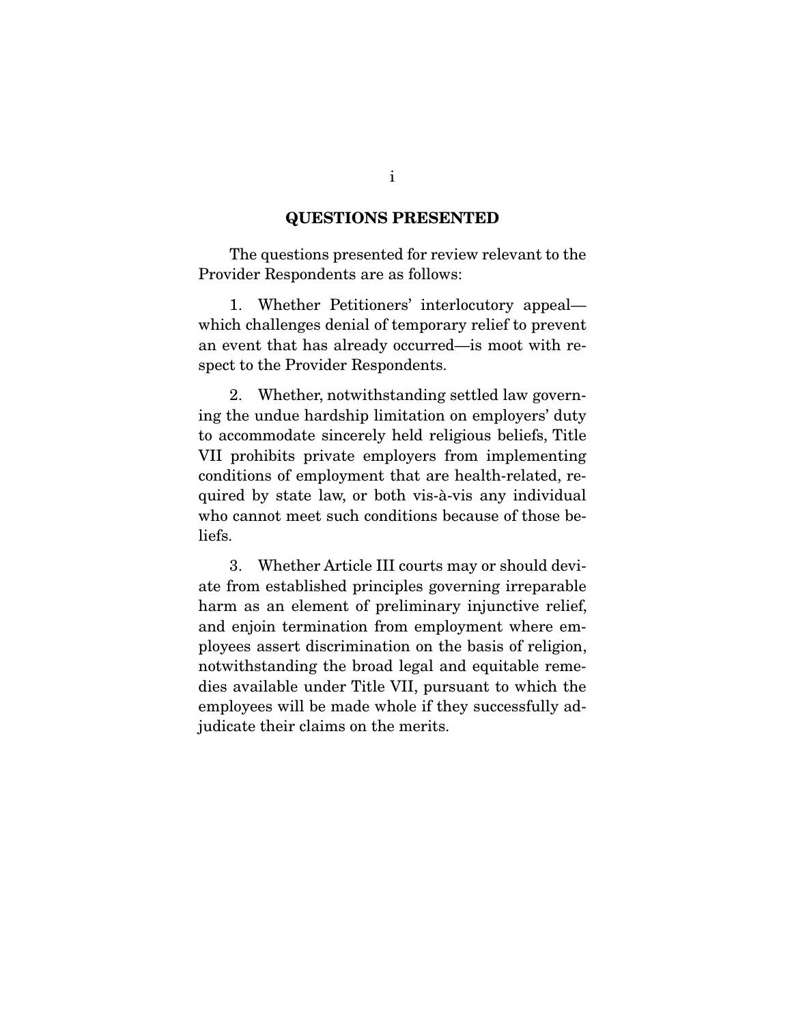#### **QUESTIONS PRESENTED**

 The questions presented for review relevant to the Provider Respondents are as follows:

 1. Whether Petitioners' interlocutory appeal which challenges denial of temporary relief to prevent an event that has already occurred—is moot with respect to the Provider Respondents.

 2. Whether, notwithstanding settled law governing the undue hardship limitation on employers' duty to accommodate sincerely held religious beliefs, Title VII prohibits private employers from implementing conditions of employment that are health-related, required by state law, or both vis-à-vis any individual who cannot meet such conditions because of those beliefs.

 3. Whether Article III courts may or should deviate from established principles governing irreparable harm as an element of preliminary injunctive relief, and enjoin termination from employment where employees assert discrimination on the basis of religion, notwithstanding the broad legal and equitable remedies available under Title VII, pursuant to which the employees will be made whole if they successfully adjudicate their claims on the merits.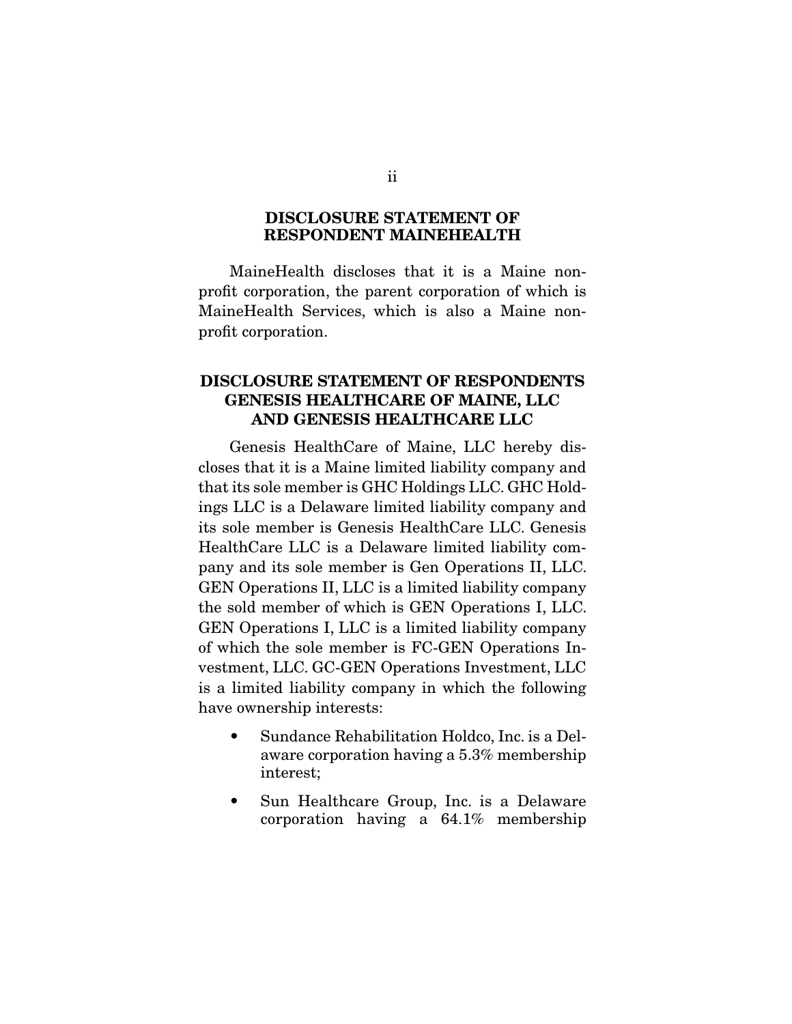#### **DISCLOSURE STATEMENT OF RESPONDENT MAINEHEALTH**

 MaineHealth discloses that it is a Maine nonprofit corporation, the parent corporation of which is MaineHealth Services, which is also a Maine nonprofit corporation.

## **DISCLOSURE STATEMENT OF RESPONDENTS GENESIS HEALTHCARE OF MAINE, LLC AND GENESIS HEALTHCARE LLC**

 Genesis HealthCare of Maine, LLC hereby discloses that it is a Maine limited liability company and that its sole member is GHC Holdings LLC. GHC Holdings LLC is a Delaware limited liability company and its sole member is Genesis HealthCare LLC. Genesis HealthCare LLC is a Delaware limited liability company and its sole member is Gen Operations II, LLC. GEN Operations II, LLC is a limited liability company the sold member of which is GEN Operations I, LLC. GEN Operations I, LLC is a limited liability company of which the sole member is FC-GEN Operations Investment, LLC. GC-GEN Operations Investment, LLC is a limited liability company in which the following have ownership interests:

- Sundance Rehabilitation Holdco, Inc. is a Delaware corporation having a 5.3% membership interest;
- Sun Healthcare Group, Inc. is a Delaware corporation having a 64.1% membership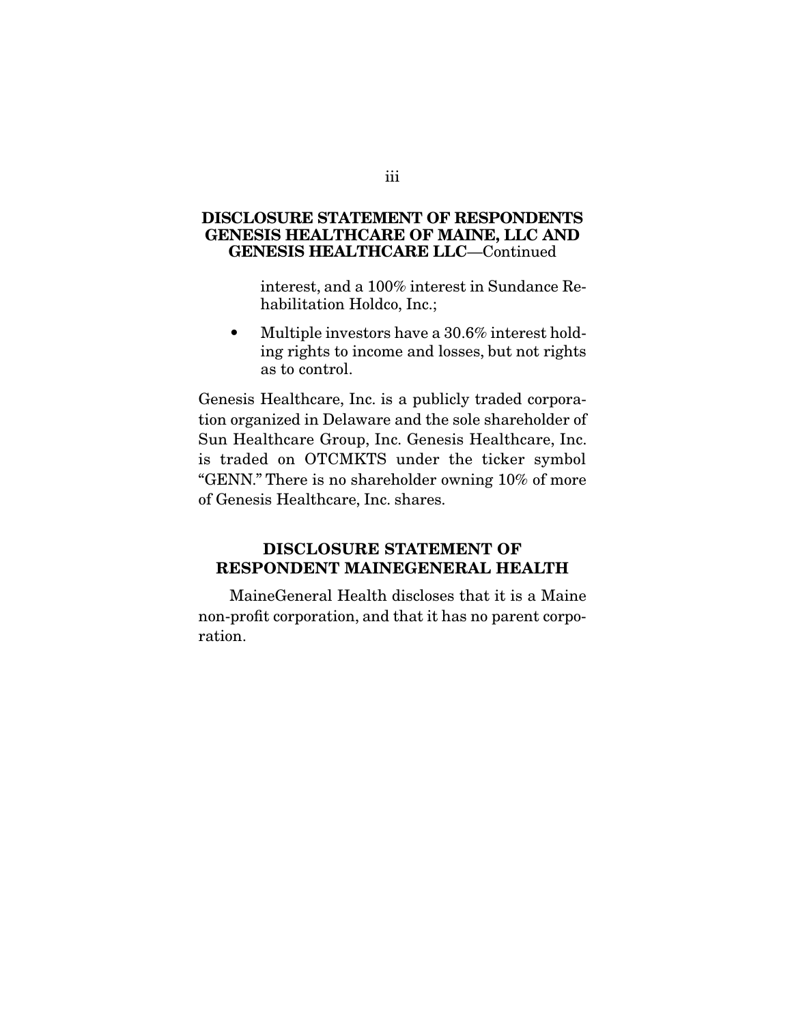#### **DISCLOSURE STATEMENT OF RESPONDENTS GENESIS HEALTHCARE OF MAINE, LLC AND GENESIS HEALTHCARE LLC**—Continued

 interest, and a 100% interest in Sundance Rehabilitation Holdco, Inc.;

• Multiple investors have a 30.6% interest holding rights to income and losses, but not rights as to control.

Genesis Healthcare, Inc. is a publicly traded corporation organized in Delaware and the sole shareholder of Sun Healthcare Group, Inc. Genesis Healthcare, Inc. is traded on OTCMKTS under the ticker symbol "GENN." There is no shareholder owning 10% of more of Genesis Healthcare, Inc. shares.

## **DISCLOSURE STATEMENT OF RESPONDENT MAINEGENERAL HEALTH**

 MaineGeneral Health discloses that it is a Maine non-profit corporation, and that it has no parent corporation.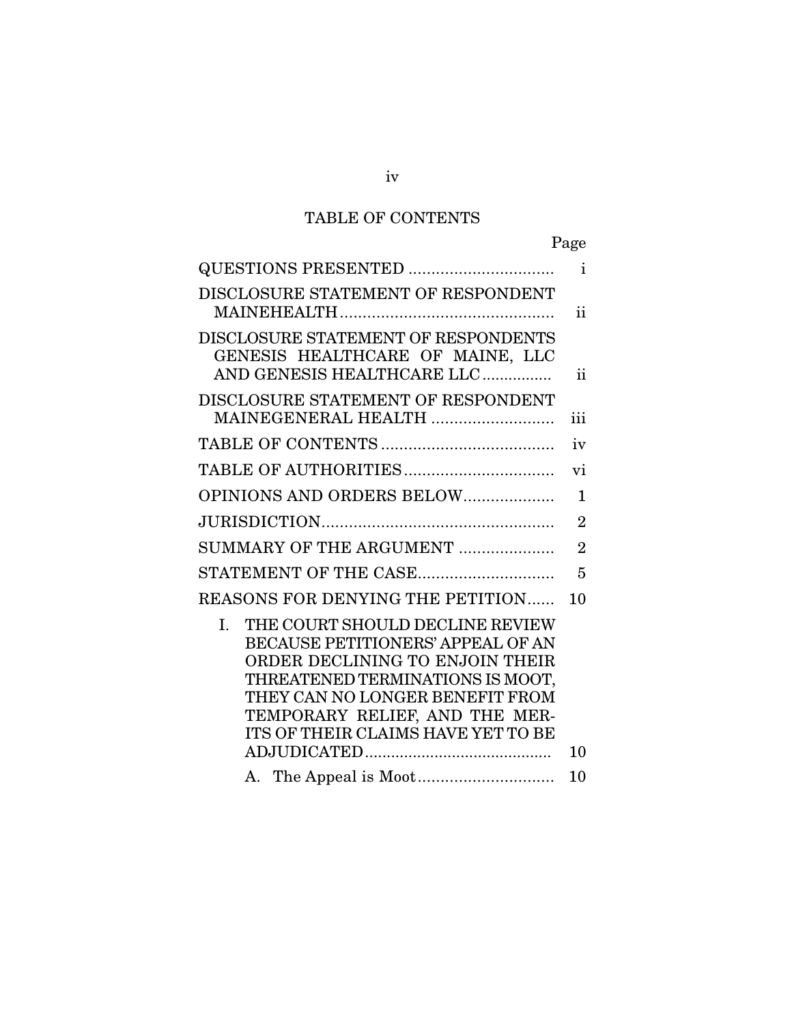## TABLE OF CONTENTS

| QUESTIONS PRESENTED                                                                                                                                                                                                                                          | $\mathbf{i}$   |
|--------------------------------------------------------------------------------------------------------------------------------------------------------------------------------------------------------------------------------------------------------------|----------------|
| DISCLOSURE STATEMENT OF RESPONDENT                                                                                                                                                                                                                           | ii.            |
| DISCLOSURE STATEMENT OF RESPONDENTS<br>GENESIS HEALTHCARE OF MAINE, LLC<br>AND GENESIS HEALTHCARE LLC                                                                                                                                                        | ii.            |
| DISCLOSURE STATEMENT OF RESPONDENT<br>MAINEGENERAL HEALTH                                                                                                                                                                                                    | iii            |
|                                                                                                                                                                                                                                                              | iv             |
|                                                                                                                                                                                                                                                              | vi             |
| OPINIONS AND ORDERS BELOW                                                                                                                                                                                                                                    | $\mathbf{1}$   |
|                                                                                                                                                                                                                                                              | $\overline{2}$ |
| SUMMARY OF THE ARGUMENT                                                                                                                                                                                                                                      | $\overline{2}$ |
| STATEMENT OF THE CASE                                                                                                                                                                                                                                        | 5              |
| REASONS FOR DENYING THE PETITION                                                                                                                                                                                                                             | 10             |
| THE COURT SHOULD DECLINE REVIEW<br>I.<br>BECAUSE PETITIONERS' APPEAL OF AN<br>ORDER DECLINING TO ENJOIN THEIR<br>THREATENED TERMINATIONS IS MOOT,<br>THEY CAN NO LONGER BENEFIT FROM<br>TEMPORARY RELIEF, AND THE MER-<br>ITS OF THEIR CLAIMS HAVE YET TO BE | 10             |
|                                                                                                                                                                                                                                                              | 10             |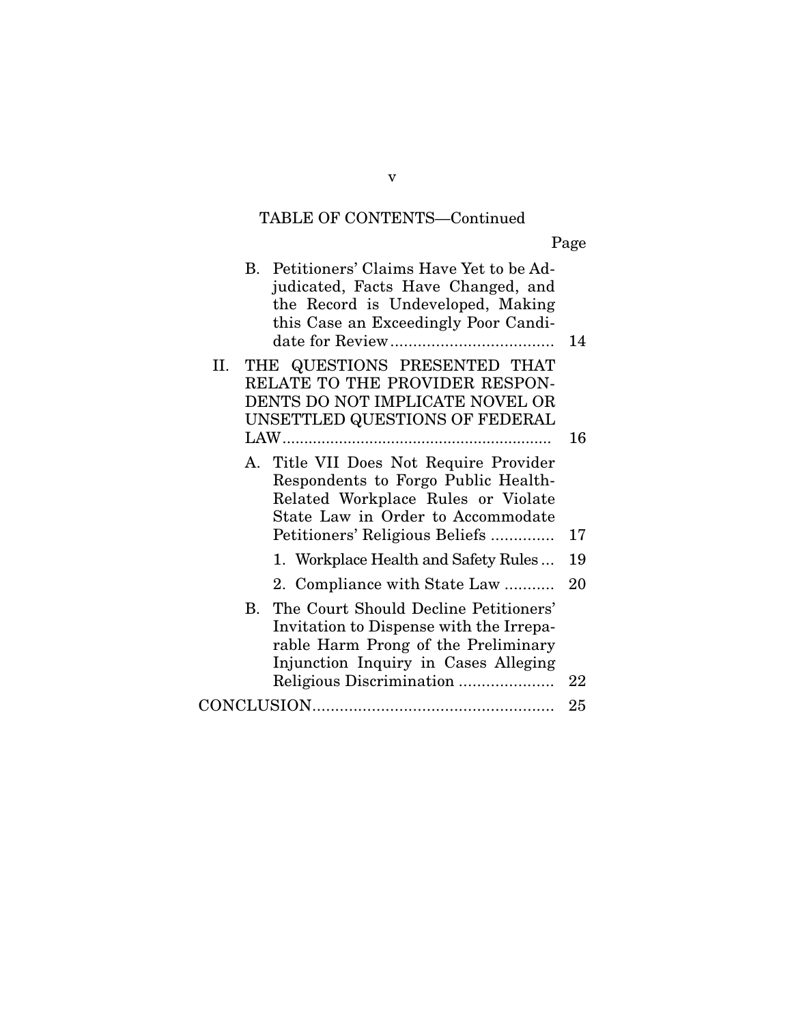## TABLE OF CONTENTS—Continued

Page

| B. Petitioners' Claims Have Yet to be Ad-<br>judicated, Facts Have Changed, and<br>the Record is Undeveloped, Making<br>this Case an Exceedingly Poor Candi-                                   | 14 |
|------------------------------------------------------------------------------------------------------------------------------------------------------------------------------------------------|----|
| THE QUESTIONS PRESENTED THAT<br>П.<br>RELATE TO THE PROVIDER RESPON-<br>DENTS DO NOT IMPLICATE NOVEL OR<br>UNSETTLED QUESTIONS OF FEDERAL                                                      | 16 |
| A. Title VII Does Not Require Provider<br>Respondents to Forgo Public Health-<br>Related Workplace Rules or Violate<br>State Law in Order to Accommodate<br>Petitioners' Religious Beliefs     | 17 |
| 1. Workplace Health and Safety Rules                                                                                                                                                           | 19 |
| 2. Compliance with State Law                                                                                                                                                                   | 20 |
| B. The Court Should Decline Petitioners'<br>Invitation to Dispense with the Irrepa-<br>rable Harm Prong of the Preliminary<br>Injunction Inquiry in Cases Alleging<br>Religious Discrimination | 22 |
|                                                                                                                                                                                                |    |

v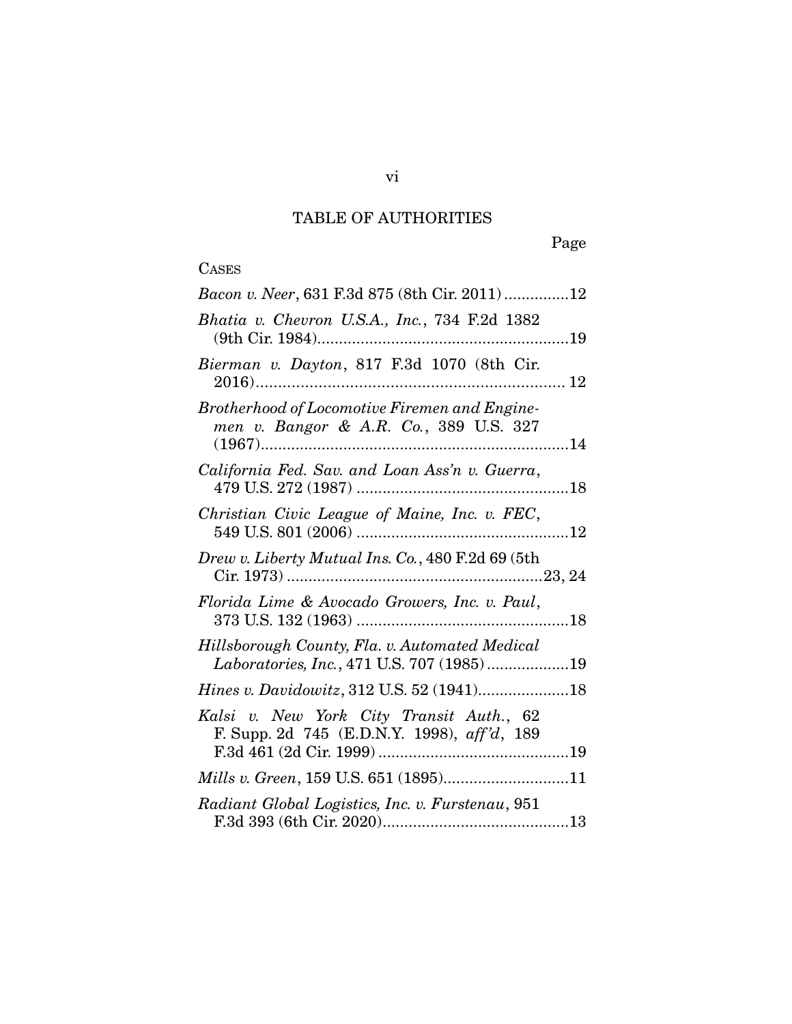# TABLE OF AUTHORITIES

# **CASES**

| Bacon v. Neer, 631 F.3d 875 (8th Cir. 2011) 12                                              |
|---------------------------------------------------------------------------------------------|
| Bhatia v. Chevron U.S.A., Inc., 734 F.2d 1382                                               |
| Bierman v. Dayton, 817 F.3d 1070 (8th Cir.                                                  |
| Brotherhood of Locomotive Firemen and Engine-<br>men v. Bangor & A.R. Co., 389 U.S. 327     |
| California Fed. Sav. and Loan Ass'n v. Guerra,                                              |
| Christian Civic League of Maine, Inc. v. FEC,                                               |
| Drew v. Liberty Mutual Ins. Co., 480 F.2d 69 (5th                                           |
| Florida Lime & Avocado Growers, Inc. v. Paul,                                               |
| Hillsborough County, Fla. v. Automated Medical<br>Laboratories, Inc., 471 U.S. 707 (1985)19 |
| Hines v. Davidowitz, 312 U.S. 52 (1941)18                                                   |
| Kalsi v. New York City Transit Auth., 62<br>F. Supp. 2d 745 (E.D.N.Y. 1998), aff'd, 189     |
| Mills v. Green, 159 U.S. 651 (1895)11                                                       |
| Radiant Global Logistics, Inc. v. Furstenau, 951                                            |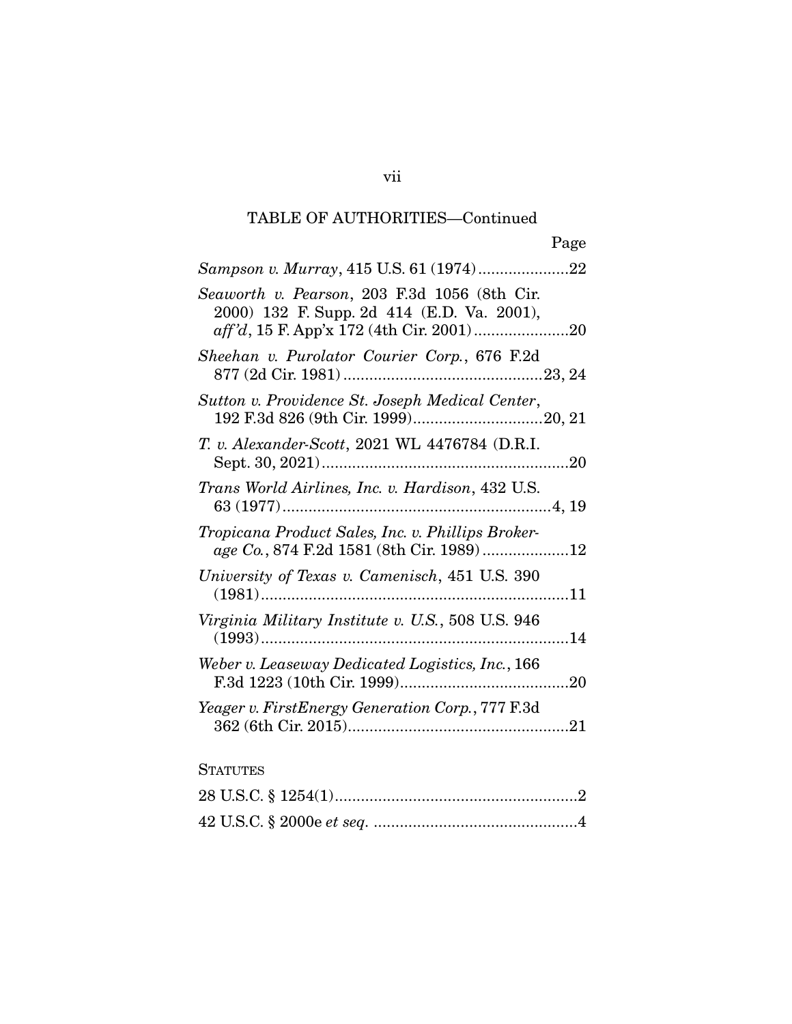## TABLE OF AUTHORITIES—Continued

| Sampson v. Murray, 415 U.S. 61 (1974)22                                                        |
|------------------------------------------------------------------------------------------------|
| Seaworth v. Pearson, 203 F.3d 1056 (8th Cir.<br>2000) 132 F. Supp. 2d 414 (E.D. Va. 2001),     |
| Sheehan v. Purolator Courier Corp., 676 F.2d                                                   |
| Sutton v. Providence St. Joseph Medical Center,                                                |
| T. v. Alexander-Scott, 2021 WL 4476784 (D.R.I.                                                 |
| Trans World Airlines, Inc. v. Hardison, 432 U.S.                                               |
| Tropicana Product Sales, Inc. v. Phillips Broker-<br>age Co., 874 F.2d 1581 (8th Cir. 1989) 12 |
| University of Texas v. Camenisch, 451 U.S. 390                                                 |
| Virginia Military Institute v. U.S., 508 U.S. 946                                              |
| Weber v. Leaseway Dedicated Logistics, Inc., 166                                               |
| Yeager v. FirstEnergy Generation Corp., 777 F.3d                                               |
|                                                                                                |

## **STATUTES**

vii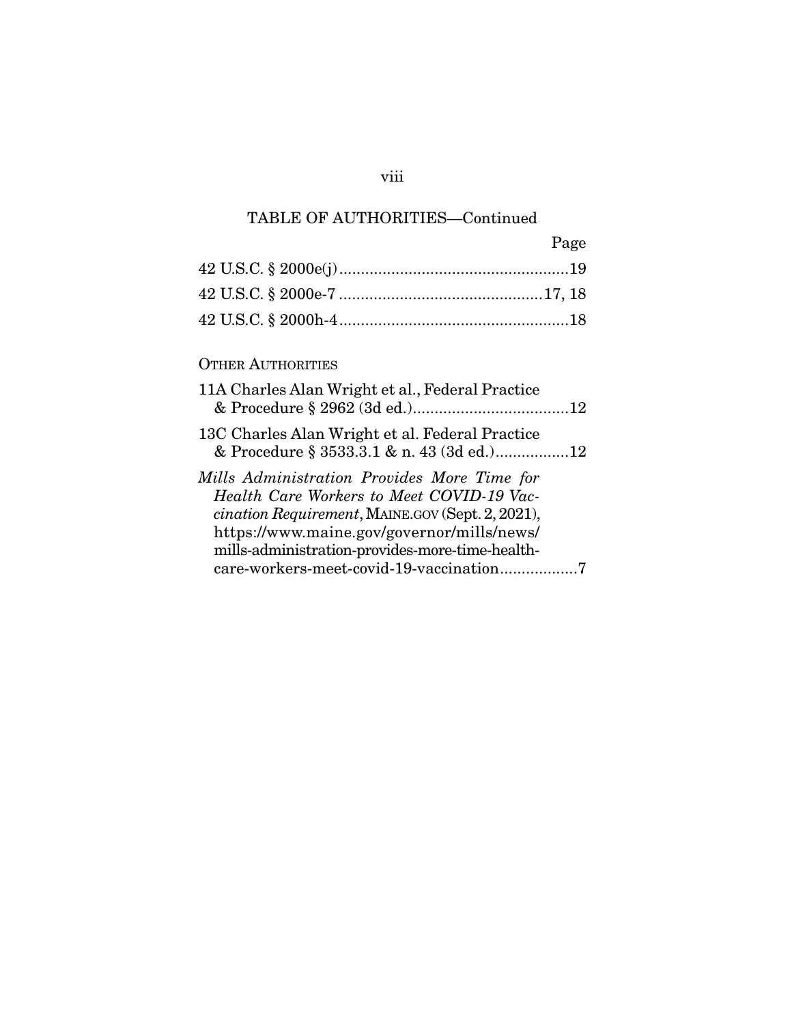## TABLE OF AUTHORITIES—Continued

| Page |
|------|
|      |
|      |
|      |

### OTHER AUTHORITIES

| 11A Charles Alan Wright et al., Federal Practice                                                                                                                                                                                              |  |
|-----------------------------------------------------------------------------------------------------------------------------------------------------------------------------------------------------------------------------------------------|--|
| 13C Charles Alan Wright et al. Federal Practice<br>& Procedure § 3533.3.1 & n. 43 (3d ed.)12                                                                                                                                                  |  |
| Mills Administration Provides More Time for<br>Health Care Workers to Meet COVID-19 Vac-<br>cination Requirement, MAINE.GOV (Sept. 2, 2021),<br>https://www.maine.gov/governor/mills/news/<br>mills-administration-provides-more-time-health- |  |
|                                                                                                                                                                                                                                               |  |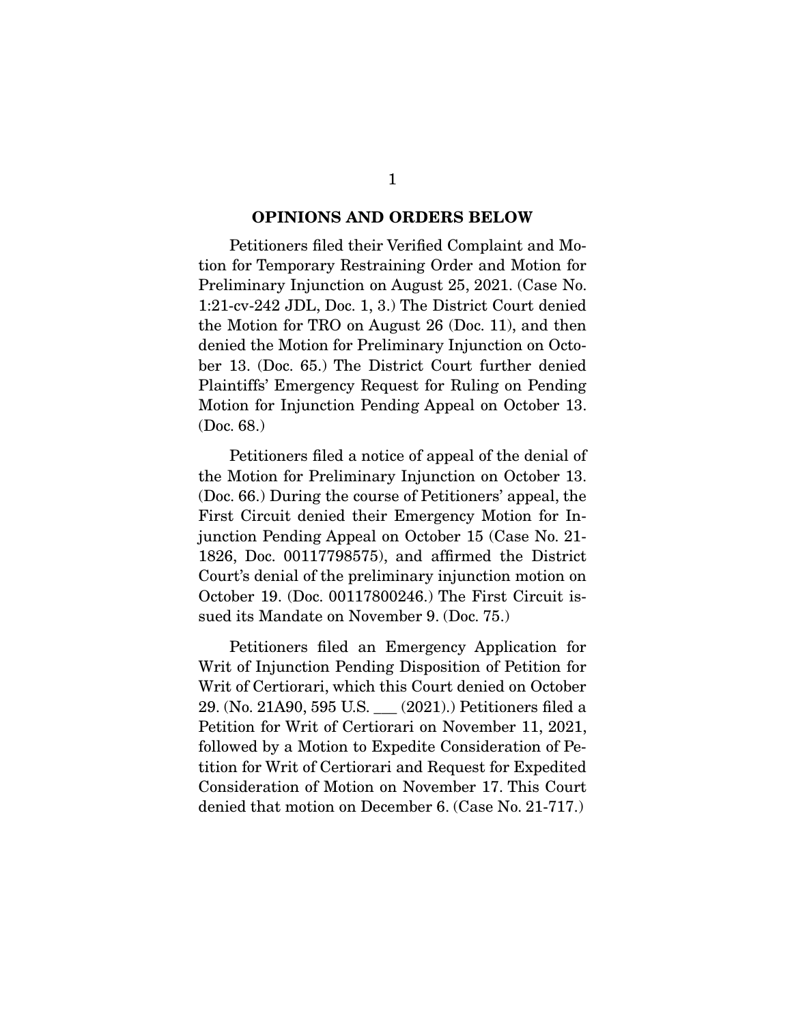#### **OPINIONS AND ORDERS BELOW**

 Petitioners filed their Verified Complaint and Motion for Temporary Restraining Order and Motion for Preliminary Injunction on August 25, 2021. (Case No. 1:21-cv-242 JDL, Doc. 1, 3.) The District Court denied the Motion for TRO on August 26 (Doc. 11), and then denied the Motion for Preliminary Injunction on October 13. (Doc. 65.) The District Court further denied Plaintiffs' Emergency Request for Ruling on Pending Motion for Injunction Pending Appeal on October 13. (Doc. 68.)

 Petitioners filed a notice of appeal of the denial of the Motion for Preliminary Injunction on October 13. (Doc. 66.) During the course of Petitioners' appeal, the First Circuit denied their Emergency Motion for Injunction Pending Appeal on October 15 (Case No. 21- 1826, Doc. 00117798575), and affirmed the District Court's denial of the preliminary injunction motion on October 19. (Doc. 00117800246.) The First Circuit issued its Mandate on November 9. (Doc. 75.)

 Petitioners filed an Emergency Application for Writ of Injunction Pending Disposition of Petition for Writ of Certiorari, which this Court denied on October 29. (No. 21A90, 595 U.S. \_\_\_ (2021).) Petitioners filed a Petition for Writ of Certiorari on November 11, 2021, followed by a Motion to Expedite Consideration of Petition for Writ of Certiorari and Request for Expedited Consideration of Motion on November 17. This Court denied that motion on December 6. (Case No. 21-717.)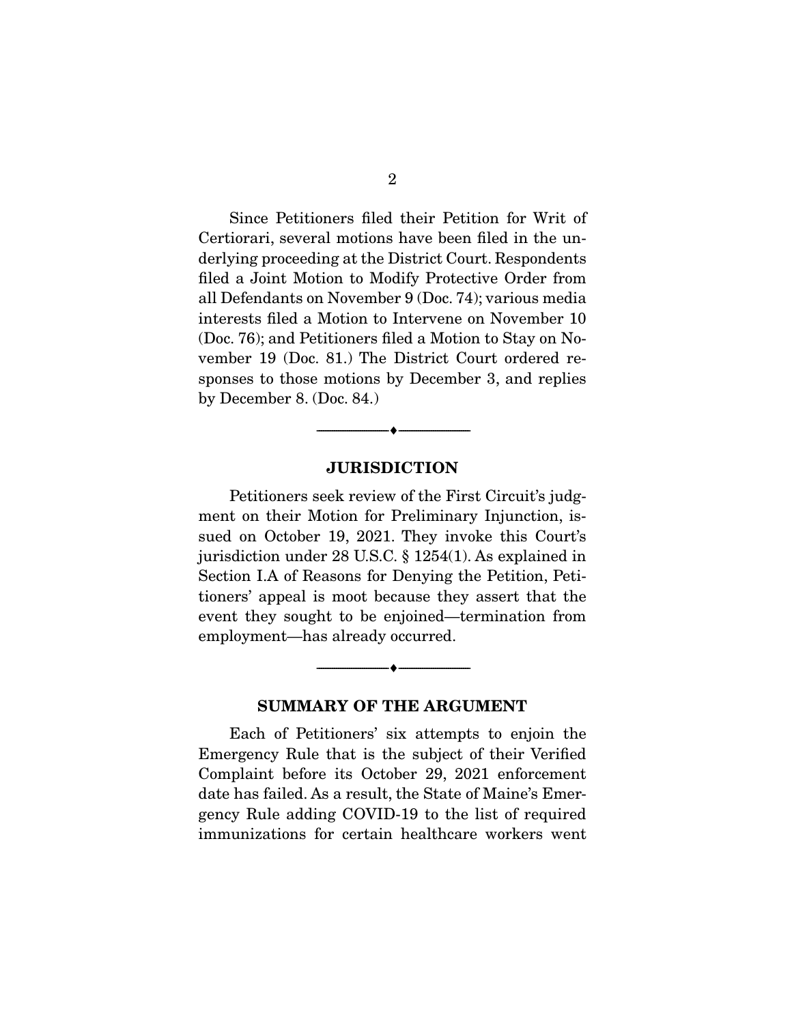Since Petitioners filed their Petition for Writ of Certiorari, several motions have been filed in the underlying proceeding at the District Court. Respondents filed a Joint Motion to Modify Protective Order from all Defendants on November 9 (Doc. 74); various media interests filed a Motion to Intervene on November 10 (Doc. 76); and Petitioners filed a Motion to Stay on November 19 (Doc. 81.) The District Court ordered responses to those motions by December 3, and replies by December 8. (Doc. 84.)

#### **JURISDICTION**

--------------------------------- ♦ ---------------------------------

 Petitioners seek review of the First Circuit's judgment on their Motion for Preliminary Injunction, issued on October 19, 2021. They invoke this Court's jurisdiction under 28 U.S.C. § 1254(1). As explained in Section I.A of Reasons for Denying the Petition, Petitioners' appeal is moot because they assert that the event they sought to be enjoined—termination from employment—has already occurred.

#### **SUMMARY OF THE ARGUMENT**

 $\overbrace{\hspace{2.5cm}}^{\bullet}$   $\overbrace{\hspace{2.5cm}}^{\bullet}$ 

 Each of Petitioners' six attempts to enjoin the Emergency Rule that is the subject of their Verified Complaint before its October 29, 2021 enforcement date has failed. As a result, the State of Maine's Emergency Rule adding COVID-19 to the list of required immunizations for certain healthcare workers went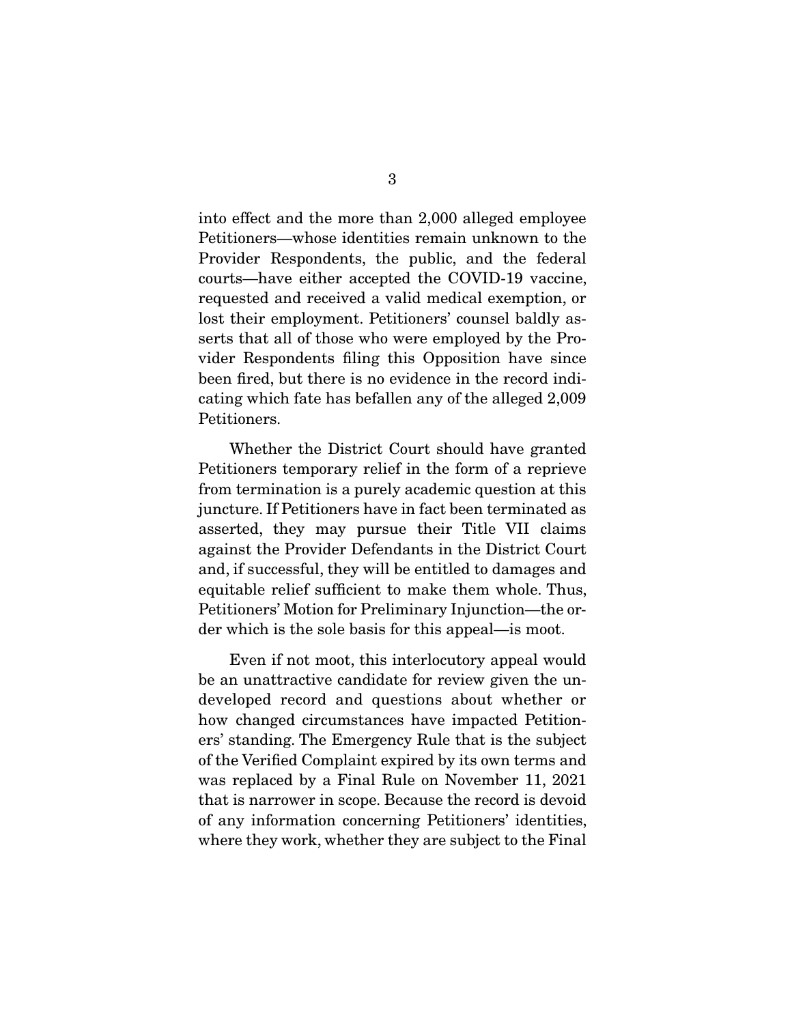into effect and the more than 2,000 alleged employee Petitioners—whose identities remain unknown to the Provider Respondents, the public, and the federal courts—have either accepted the COVID-19 vaccine, requested and received a valid medical exemption, or lost their employment. Petitioners' counsel baldly asserts that all of those who were employed by the Provider Respondents filing this Opposition have since been fired, but there is no evidence in the record indicating which fate has befallen any of the alleged 2,009 Petitioners.

 Whether the District Court should have granted Petitioners temporary relief in the form of a reprieve from termination is a purely academic question at this juncture. If Petitioners have in fact been terminated as asserted, they may pursue their Title VII claims against the Provider Defendants in the District Court and, if successful, they will be entitled to damages and equitable relief sufficient to make them whole. Thus, Petitioners' Motion for Preliminary Injunction—the order which is the sole basis for this appeal—is moot.

 Even if not moot, this interlocutory appeal would be an unattractive candidate for review given the undeveloped record and questions about whether or how changed circumstances have impacted Petitioners' standing. The Emergency Rule that is the subject of the Verified Complaint expired by its own terms and was replaced by a Final Rule on November 11, 2021 that is narrower in scope. Because the record is devoid of any information concerning Petitioners' identities, where they work, whether they are subject to the Final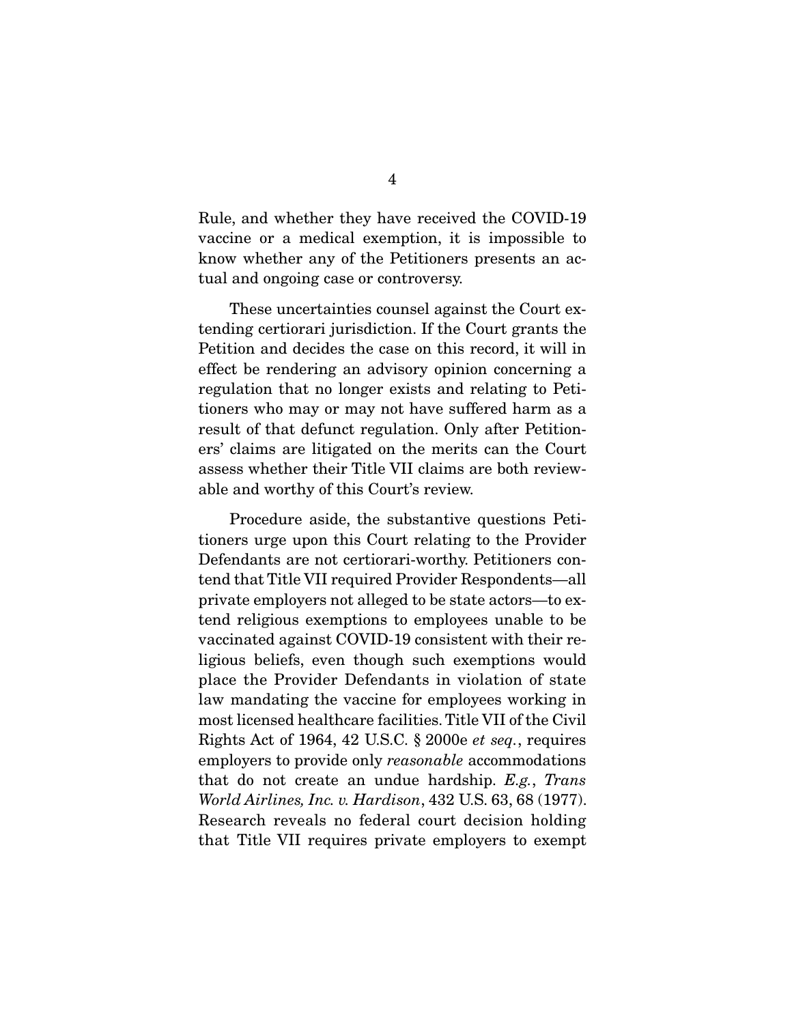Rule, and whether they have received the COVID-19 vaccine or a medical exemption, it is impossible to know whether any of the Petitioners presents an actual and ongoing case or controversy.

 These uncertainties counsel against the Court extending certiorari jurisdiction. If the Court grants the Petition and decides the case on this record, it will in effect be rendering an advisory opinion concerning a regulation that no longer exists and relating to Petitioners who may or may not have suffered harm as a result of that defunct regulation. Only after Petitioners' claims are litigated on the merits can the Court assess whether their Title VII claims are both reviewable and worthy of this Court's review.

 Procedure aside, the substantive questions Petitioners urge upon this Court relating to the Provider Defendants are not certiorari-worthy. Petitioners contend that Title VII required Provider Respondents—all private employers not alleged to be state actors—to extend religious exemptions to employees unable to be vaccinated against COVID-19 consistent with their religious beliefs, even though such exemptions would place the Provider Defendants in violation of state law mandating the vaccine for employees working in most licensed healthcare facilities. Title VII of the Civil Rights Act of 1964, 42 U.S.C. § 2000e et seq., requires employers to provide only reasonable accommodations that do not create an undue hardship. E.g., Trans World Airlines, Inc. v. Hardison, 432 U.S. 63, 68 (1977). Research reveals no federal court decision holding that Title VII requires private employers to exempt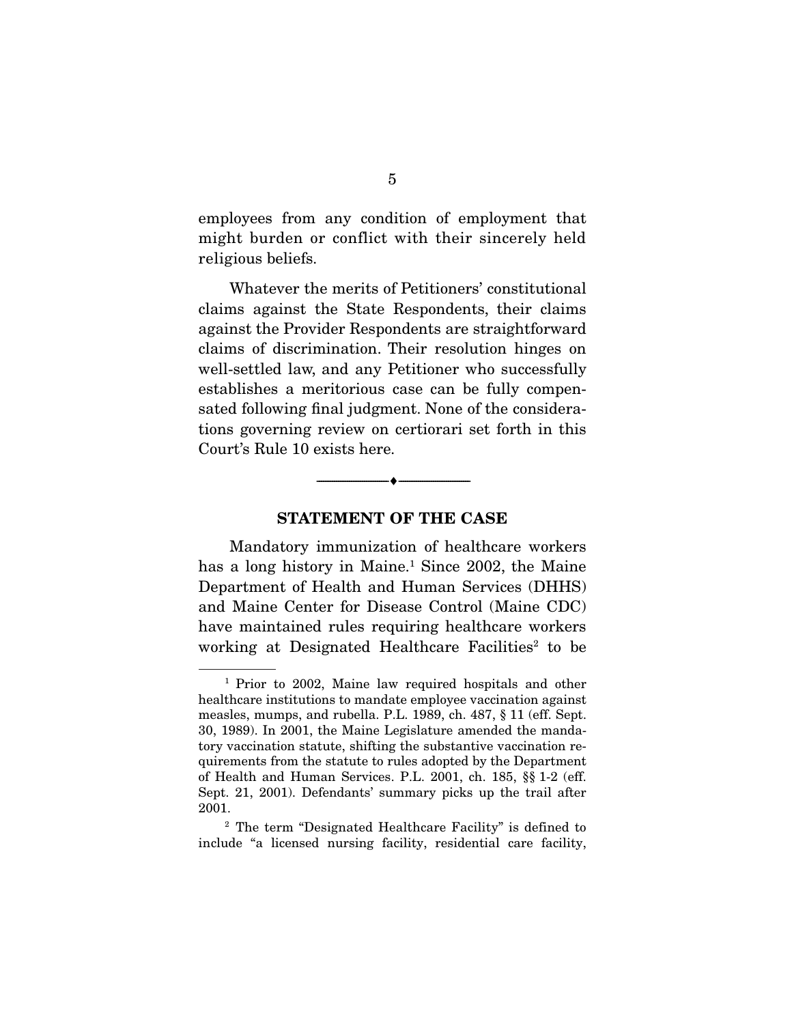employees from any condition of employment that might burden or conflict with their sincerely held religious beliefs.

 Whatever the merits of Petitioners' constitutional claims against the State Respondents, their claims against the Provider Respondents are straightforward claims of discrimination. Their resolution hinges on well-settled law, and any Petitioner who successfully establishes a meritorious case can be fully compensated following final judgment. None of the considerations governing review on certiorari set forth in this Court's Rule 10 exists here.

#### **STATEMENT OF THE CASE**

 $\overbrace{\hspace{2.5cm}}^{\bullet}$   $\overbrace{\hspace{2.5cm}}^{\bullet}$ 

 Mandatory immunization of healthcare workers has a long history in Maine.<sup>1</sup> Since 2002, the Maine Department of Health and Human Services (DHHS) and Maine Center for Disease Control (Maine CDC) have maintained rules requiring healthcare workers working at Designated Healthcare Facilities<sup>2</sup> to be

<sup>1</sup> Prior to 2002, Maine law required hospitals and other healthcare institutions to mandate employee vaccination against measles, mumps, and rubella. P.L. 1989, ch. 487, § 11 (eff. Sept. 30, 1989). In 2001, the Maine Legislature amended the mandatory vaccination statute, shifting the substantive vaccination requirements from the statute to rules adopted by the Department of Health and Human Services. P.L. 2001, ch. 185, §§ 1-2 (eff. Sept. 21, 2001). Defendants' summary picks up the trail after 2001.

<sup>2</sup> The term "Designated Healthcare Facility" is defined to include "a licensed nursing facility, residential care facility,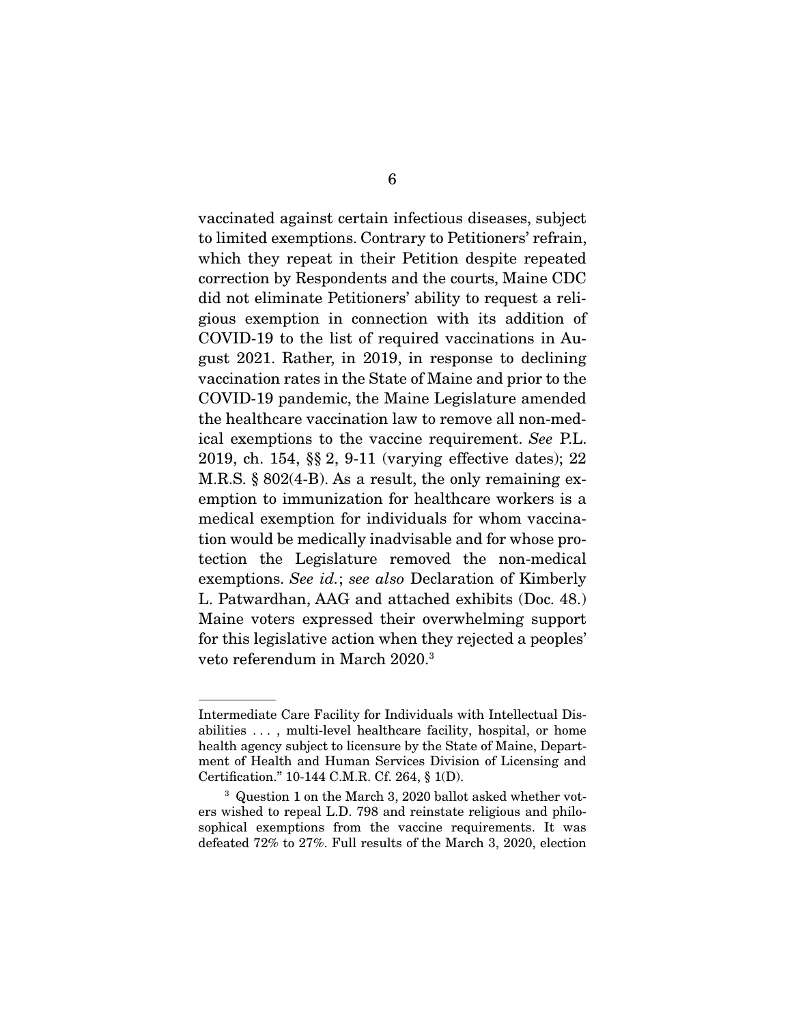vaccinated against certain infectious diseases, subject to limited exemptions. Contrary to Petitioners' refrain, which they repeat in their Petition despite repeated correction by Respondents and the courts, Maine CDC did not eliminate Petitioners' ability to request a religious exemption in connection with its addition of COVID-19 to the list of required vaccinations in August 2021. Rather, in 2019, in response to declining vaccination rates in the State of Maine and prior to the COVID-19 pandemic, the Maine Legislature amended the healthcare vaccination law to remove all non-medical exemptions to the vaccine requirement. See P.L. 2019, ch. 154, §§ 2, 9-11 (varying effective dates); 22 M.R.S. § 802(4-B). As a result, the only remaining exemption to immunization for healthcare workers is a medical exemption for individuals for whom vaccination would be medically inadvisable and for whose protection the Legislature removed the non-medical exemptions. See id.; see also Declaration of Kimberly L. Patwardhan, AAG and attached exhibits (Doc. 48.) Maine voters expressed their overwhelming support for this legislative action when they rejected a peoples' veto referendum in March 2020.3

Intermediate Care Facility for Individuals with Intellectual Disabilities . . . , multi-level healthcare facility, hospital, or home health agency subject to licensure by the State of Maine, Department of Health and Human Services Division of Licensing and Certification." 10-144 C.M.R. Cf. 264, § 1(D).

<sup>&</sup>lt;sup>3</sup> Question 1 on the March 3, 2020 ballot asked whether voters wished to repeal L.D. 798 and reinstate religious and philosophical exemptions from the vaccine requirements. It was defeated 72% to 27%. Full results of the March 3, 2020, election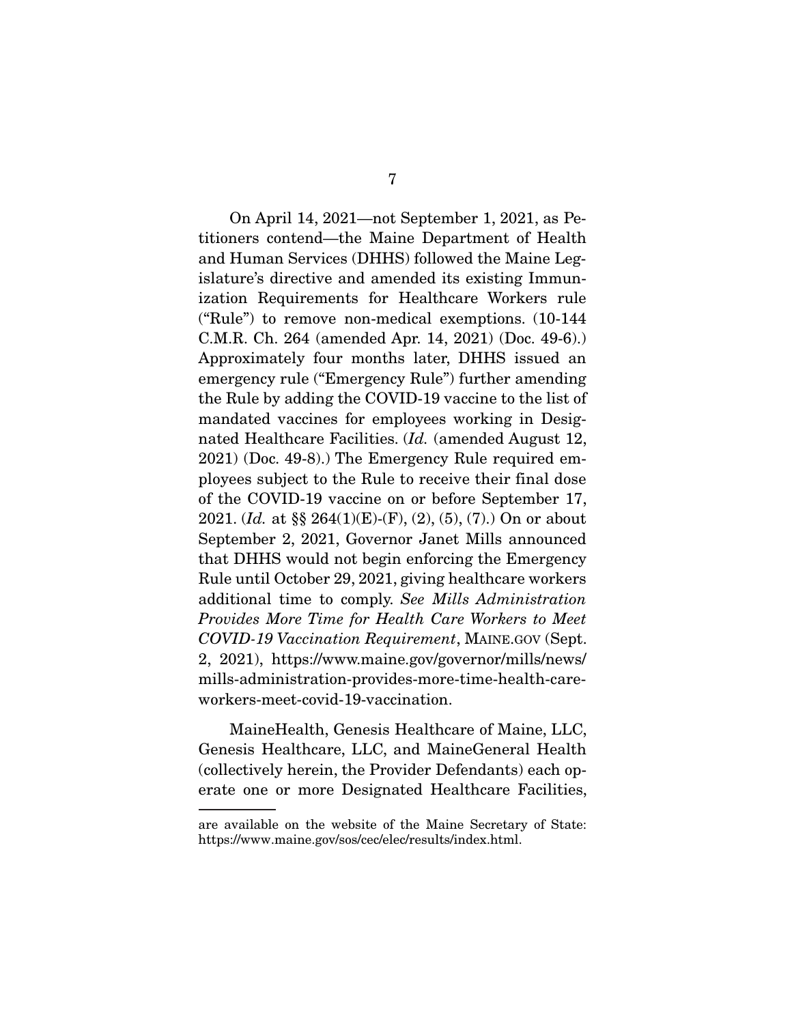On April 14, 2021—not September 1, 2021, as Petitioners contend—the Maine Department of Health and Human Services (DHHS) followed the Maine Legislature's directive and amended its existing Immunization Requirements for Healthcare Workers rule ("Rule") to remove non-medical exemptions. (10-144 C.M.R. Ch. 264 (amended Apr. 14, 2021) (Doc. 49-6).) Approximately four months later, DHHS issued an emergency rule ("Emergency Rule") further amending the Rule by adding the COVID-19 vaccine to the list of mandated vaccines for employees working in Designated Healthcare Facilities. (Id. (amended August 12, 2021) (Doc. 49-8).) The Emergency Rule required employees subject to the Rule to receive their final dose of the COVID-19 vaccine on or before September 17, 2021. (*Id.* at §§ 264(1)(E)-(F), (2), (5), (7).) On or about September 2, 2021, Governor Janet Mills announced that DHHS would not begin enforcing the Emergency Rule until October 29, 2021, giving healthcare workers additional time to comply. See Mills Administration Provides More Time for Health Care Workers to Meet COVID-19 Vaccination Requirement, MAINE.GOV (Sept. 2, 2021), https://www.maine.gov/governor/mills/news/ mills-administration-provides-more-time-health-careworkers-meet-covid-19-vaccination.

 MaineHealth, Genesis Healthcare of Maine, LLC, Genesis Healthcare, LLC, and MaineGeneral Health (collectively herein, the Provider Defendants) each operate one or more Designated Healthcare Facilities,

are available on the website of the Maine Secretary of State: https://www.maine.gov/sos/cec/elec/results/index.html.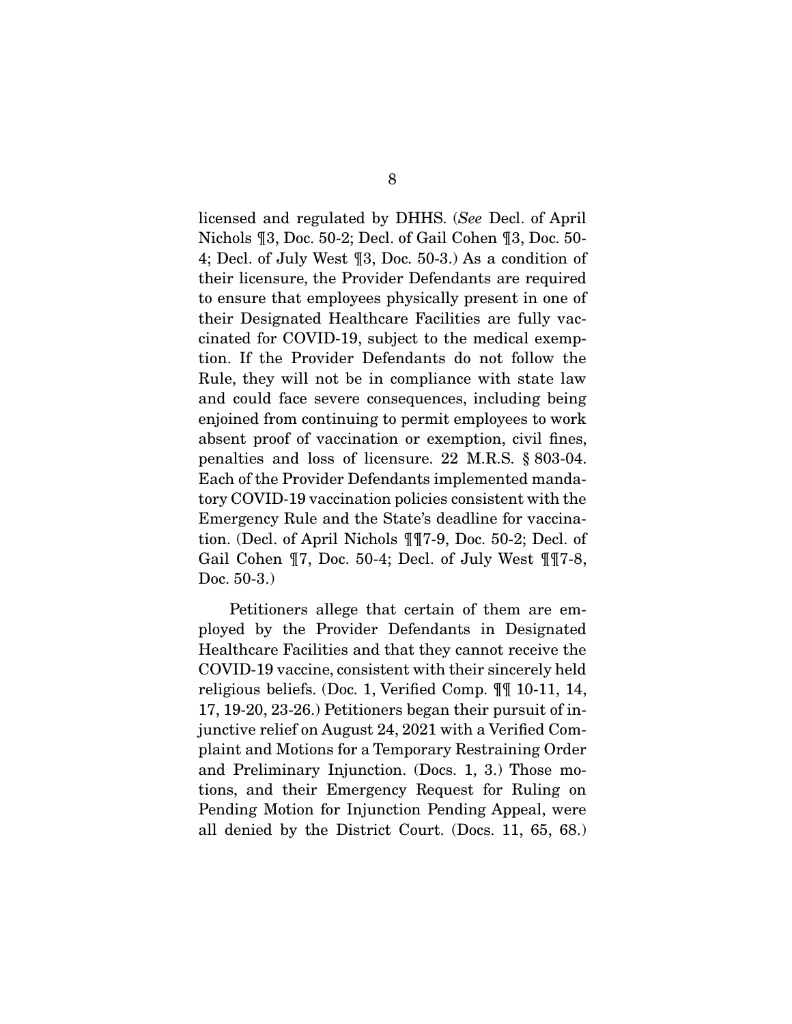licensed and regulated by DHHS. (See Decl. of April Nichols ¶3, Doc. 50-2; Decl. of Gail Cohen ¶3, Doc. 50- 4; Decl. of July West ¶3, Doc. 50-3.) As a condition of their licensure, the Provider Defendants are required to ensure that employees physically present in one of their Designated Healthcare Facilities are fully vaccinated for COVID-19, subject to the medical exemption. If the Provider Defendants do not follow the Rule, they will not be in compliance with state law and could face severe consequences, including being enjoined from continuing to permit employees to work absent proof of vaccination or exemption, civil fines, penalties and loss of licensure. 22 M.R.S. § 803-04. Each of the Provider Defendants implemented mandatory COVID-19 vaccination policies consistent with the Emergency Rule and the State's deadline for vaccination. (Decl. of April Nichols ¶¶7-9, Doc. 50-2; Decl. of Gail Cohen ¶7, Doc. 50-4; Decl. of July West ¶¶7-8, Doc. 50-3.)

 Petitioners allege that certain of them are employed by the Provider Defendants in Designated Healthcare Facilities and that they cannot receive the COVID-19 vaccine, consistent with their sincerely held religious beliefs. (Doc. 1, Verified Comp. ¶¶ 10-11, 14, 17, 19-20, 23-26.) Petitioners began their pursuit of injunctive relief on August 24, 2021 with a Verified Complaint and Motions for a Temporary Restraining Order and Preliminary Injunction. (Docs. 1, 3.) Those motions, and their Emergency Request for Ruling on Pending Motion for Injunction Pending Appeal, were all denied by the District Court. (Docs. 11, 65, 68.)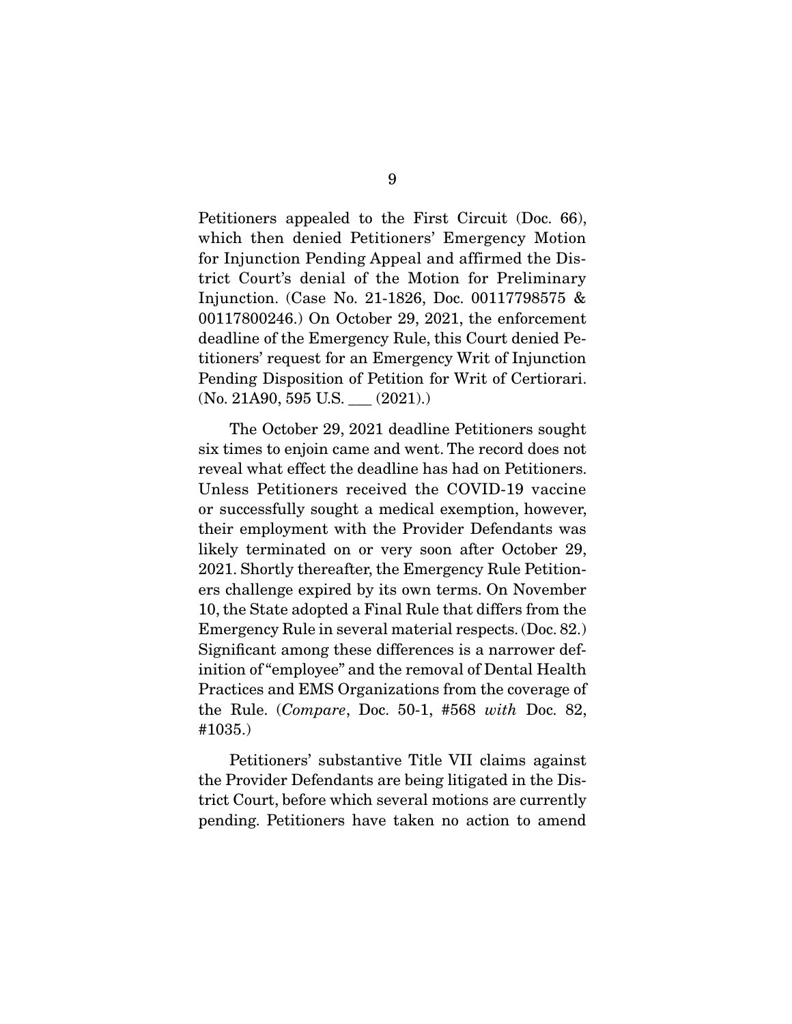Petitioners appealed to the First Circuit (Doc. 66), which then denied Petitioners' Emergency Motion for Injunction Pending Appeal and affirmed the District Court's denial of the Motion for Preliminary Injunction. (Case No. 21-1826, Doc. 00117798575 & 00117800246.) On October 29, 2021, the enforcement deadline of the Emergency Rule, this Court denied Petitioners' request for an Emergency Writ of Injunction Pending Disposition of Petition for Writ of Certiorari.  $(No. 21A90, 595 U.S.$  \_\_\_  $(2021).)$ 

 The October 29, 2021 deadline Petitioners sought six times to enjoin came and went. The record does not reveal what effect the deadline has had on Petitioners. Unless Petitioners received the COVID-19 vaccine or successfully sought a medical exemption, however, their employment with the Provider Defendants was likely terminated on or very soon after October 29, 2021. Shortly thereafter, the Emergency Rule Petitioners challenge expired by its own terms. On November 10, the State adopted a Final Rule that differs from the Emergency Rule in several material respects. (Doc. 82.) Significant among these differences is a narrower definition of "employee" and the removal of Dental Health Practices and EMS Organizations from the coverage of the Rule. (Compare, Doc. 50-1, #568 with Doc. 82, #1035.)

 Petitioners' substantive Title VII claims against the Provider Defendants are being litigated in the District Court, before which several motions are currently pending. Petitioners have taken no action to amend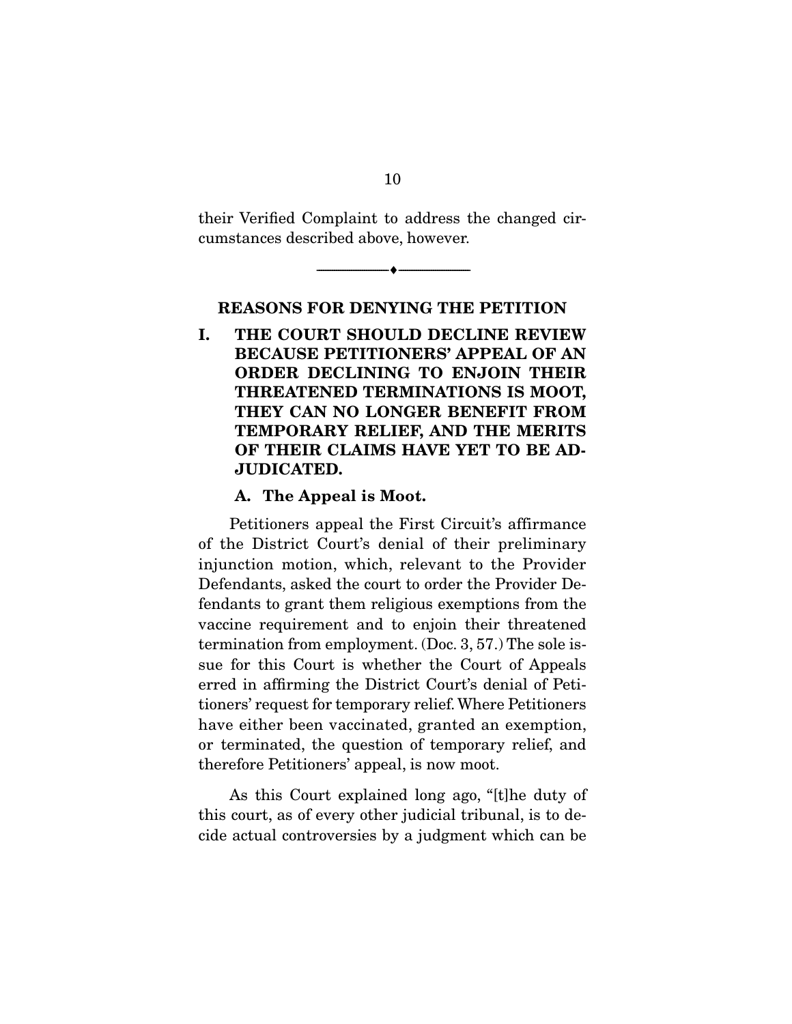their Verified Complaint to address the changed circumstances described above, however.

 $\overbrace{\hspace{2.5cm}}^{\bullet}$   $\overbrace{\hspace{2.5cm}}^{\bullet}$ 

**REASONS FOR DENYING THE PETITION** 

**I. THE COURT SHOULD DECLINE REVIEW BECAUSE PETITIONERS' APPEAL OF AN ORDER DECLINING TO ENJOIN THEIR THREATENED TERMINATIONS IS MOOT, THEY CAN NO LONGER BENEFIT FROM TEMPORARY RELIEF, AND THE MERITS OF THEIR CLAIMS HAVE YET TO BE AD-JUDICATED.** 

#### **A. The Appeal is Moot.**

 Petitioners appeal the First Circuit's affirmance of the District Court's denial of their preliminary injunction motion, which, relevant to the Provider Defendants, asked the court to order the Provider Defendants to grant them religious exemptions from the vaccine requirement and to enjoin their threatened termination from employment. (Doc. 3, 57.) The sole issue for this Court is whether the Court of Appeals erred in affirming the District Court's denial of Petitioners' request for temporary relief. Where Petitioners have either been vaccinated, granted an exemption, or terminated, the question of temporary relief, and therefore Petitioners' appeal, is now moot.

 As this Court explained long ago, "[t]he duty of this court, as of every other judicial tribunal, is to decide actual controversies by a judgment which can be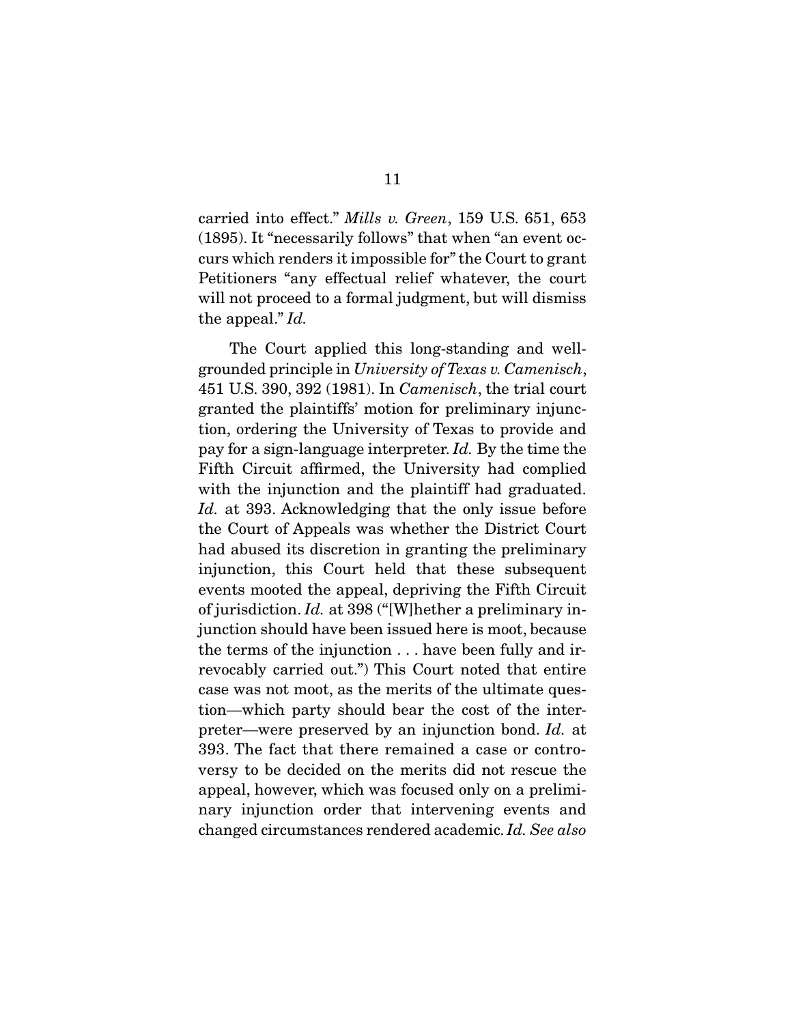carried into effect." Mills v. Green, 159 U.S. 651, 653 (1895). It "necessarily follows" that when "an event occurs which renders it impossible for" the Court to grant Petitioners "any effectual relief whatever, the court will not proceed to a formal judgment, but will dismiss the appeal." Id.

 The Court applied this long-standing and wellgrounded principle in University of Texas v. Camenisch, 451 U.S. 390, 392 (1981). In Camenisch, the trial court granted the plaintiffs' motion for preliminary injunction, ordering the University of Texas to provide and pay for a sign-language interpreter. Id. By the time the Fifth Circuit affirmed, the University had complied with the injunction and the plaintiff had graduated. Id. at 393. Acknowledging that the only issue before the Court of Appeals was whether the District Court had abused its discretion in granting the preliminary injunction, this Court held that these subsequent events mooted the appeal, depriving the Fifth Circuit of jurisdiction. Id. at 398 ("[W]hether a preliminary injunction should have been issued here is moot, because the terms of the injunction . . . have been fully and irrevocably carried out.") This Court noted that entire case was not moot, as the merits of the ultimate question—which party should bear the cost of the interpreter—were preserved by an injunction bond. Id. at 393. The fact that there remained a case or controversy to be decided on the merits did not rescue the appeal, however, which was focused only on a preliminary injunction order that intervening events and changed circumstances rendered academic. Id. See also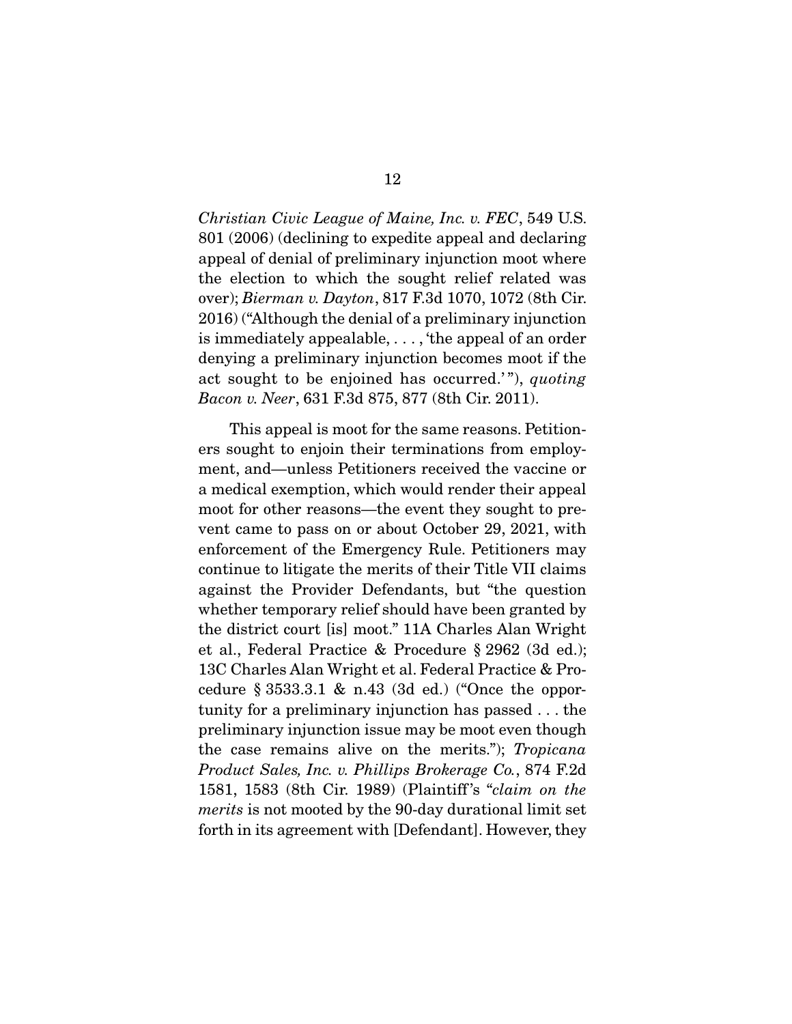Christian Civic League of Maine, Inc. v. FEC, 549 U.S. 801 (2006) (declining to expedite appeal and declaring appeal of denial of preliminary injunction moot where the election to which the sought relief related was over); Bierman v. Dayton, 817 F.3d 1070, 1072 (8th Cir. 2016) ("Although the denial of a preliminary injunction is immediately appealable, . . . , 'the appeal of an order denying a preliminary injunction becomes moot if the act sought to be enjoined has occurred.'"), quoting Bacon v. Neer, 631 F.3d 875, 877 (8th Cir. 2011).

 This appeal is moot for the same reasons. Petitioners sought to enjoin their terminations from employment, and—unless Petitioners received the vaccine or a medical exemption, which would render their appeal moot for other reasons—the event they sought to prevent came to pass on or about October 29, 2021, with enforcement of the Emergency Rule. Petitioners may continue to litigate the merits of their Title VII claims against the Provider Defendants, but "the question whether temporary relief should have been granted by the district court [is] moot." 11A Charles Alan Wright et al., Federal Practice & Procedure § 2962 (3d ed.); 13C Charles Alan Wright et al. Federal Practice & Procedure § 3533.3.1 & n.43 (3d ed.) ("Once the opportunity for a preliminary injunction has passed . . . the preliminary injunction issue may be moot even though the case remains alive on the merits."); Tropicana Product Sales, Inc. v. Phillips Brokerage Co., 874 F.2d 1581, 1583 (8th Cir. 1989) (Plaintiff 's "claim on the merits is not mooted by the 90-day durational limit set forth in its agreement with [Defendant]. However, they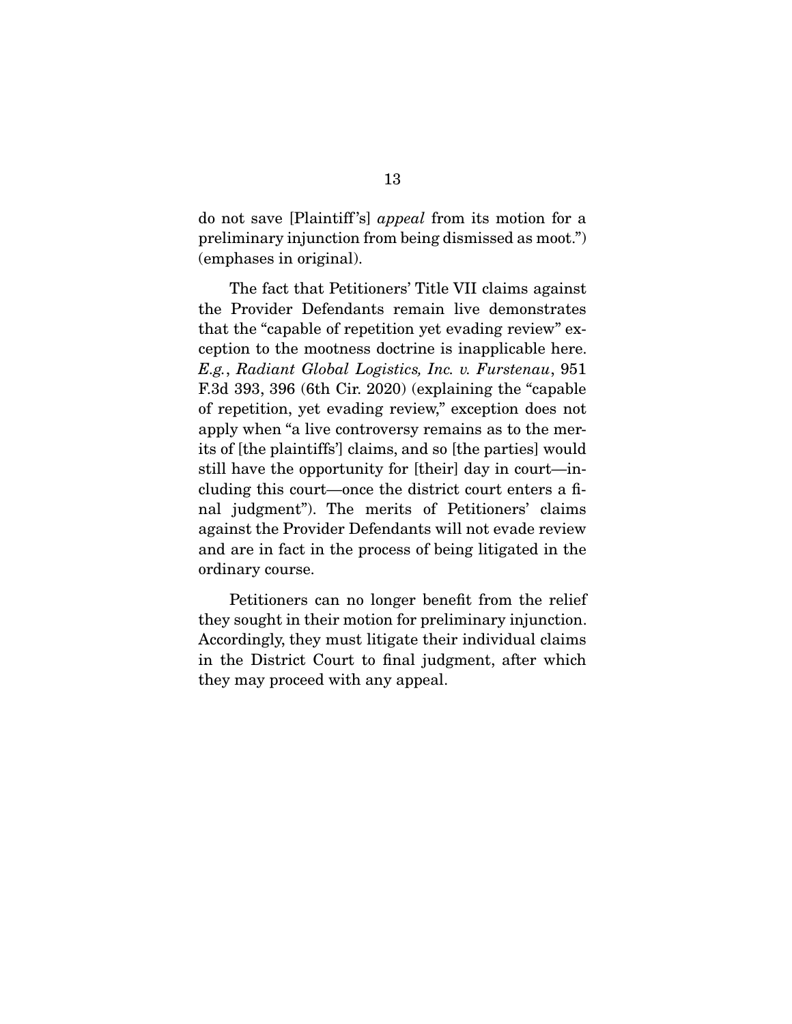do not save [Plaintiff 's] appeal from its motion for a preliminary injunction from being dismissed as moot.") (emphases in original).

 The fact that Petitioners' Title VII claims against the Provider Defendants remain live demonstrates that the "capable of repetition yet evading review" exception to the mootness doctrine is inapplicable here. E.g., Radiant Global Logistics, Inc. v. Furstenau, 951 F.3d 393, 396 (6th Cir. 2020) (explaining the "capable of repetition, yet evading review," exception does not apply when "a live controversy remains as to the merits of [the plaintiffs'] claims, and so [the parties] would still have the opportunity for [their] day in court—including this court—once the district court enters a final judgment"). The merits of Petitioners' claims against the Provider Defendants will not evade review and are in fact in the process of being litigated in the ordinary course.

 Petitioners can no longer benefit from the relief they sought in their motion for preliminary injunction. Accordingly, they must litigate their individual claims in the District Court to final judgment, after which they may proceed with any appeal.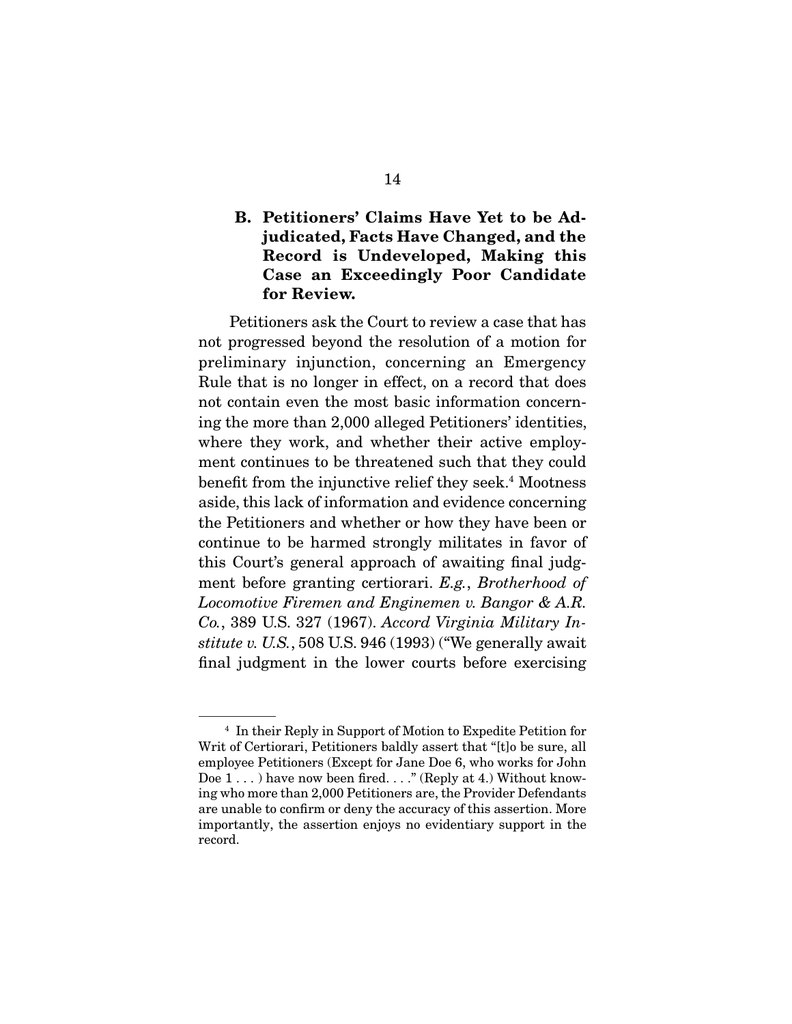## **B. Petitioners' Claims Have Yet to be Adjudicated, Facts Have Changed, and the Record is Undeveloped, Making this Case an Exceedingly Poor Candidate for Review.**

 Petitioners ask the Court to review a case that has not progressed beyond the resolution of a motion for preliminary injunction, concerning an Emergency Rule that is no longer in effect, on a record that does not contain even the most basic information concerning the more than 2,000 alleged Petitioners' identities, where they work, and whether their active employment continues to be threatened such that they could benefit from the injunctive relief they seek.<sup>4</sup> Mootness aside, this lack of information and evidence concerning the Petitioners and whether or how they have been or continue to be harmed strongly militates in favor of this Court's general approach of awaiting final judgment before granting certiorari. E.g., Brotherhood of Locomotive Firemen and Enginemen v. Bangor & A.R. Co., 389 U.S. 327 (1967). Accord Virginia Military Institute v. U.S., 508 U.S. 946 (1993) ("We generally await final judgment in the lower courts before exercising

<sup>4</sup> In their Reply in Support of Motion to Expedite Petition for Writ of Certiorari, Petitioners baldly assert that "[t]o be sure, all employee Petitioners (Except for Jane Doe 6, who works for John Doe 1...) have now been fired...." (Reply at 4.) Without knowing who more than 2,000 Petitioners are, the Provider Defendants are unable to confirm or deny the accuracy of this assertion. More importantly, the assertion enjoys no evidentiary support in the record.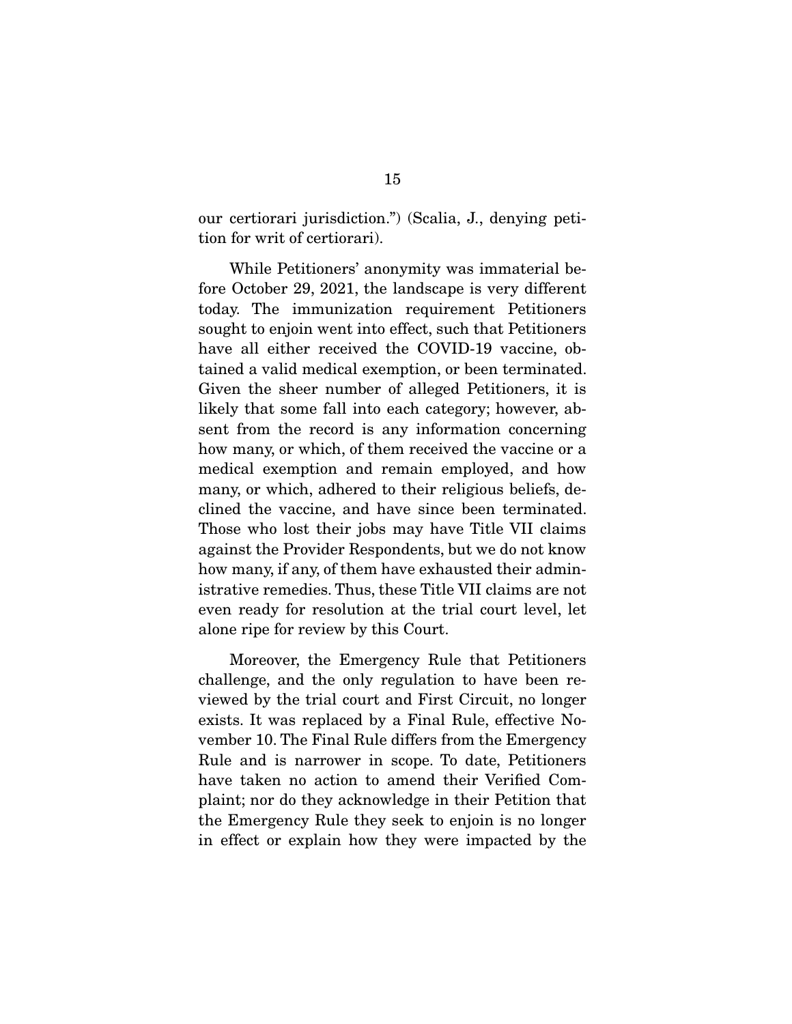our certiorari jurisdiction.") (Scalia, J., denying petition for writ of certiorari).

 While Petitioners' anonymity was immaterial before October 29, 2021, the landscape is very different today. The immunization requirement Petitioners sought to enjoin went into effect, such that Petitioners have all either received the COVID-19 vaccine, obtained a valid medical exemption, or been terminated. Given the sheer number of alleged Petitioners, it is likely that some fall into each category; however, absent from the record is any information concerning how many, or which, of them received the vaccine or a medical exemption and remain employed, and how many, or which, adhered to their religious beliefs, declined the vaccine, and have since been terminated. Those who lost their jobs may have Title VII claims against the Provider Respondents, but we do not know how many, if any, of them have exhausted their administrative remedies. Thus, these Title VII claims are not even ready for resolution at the trial court level, let alone ripe for review by this Court.

 Moreover, the Emergency Rule that Petitioners challenge, and the only regulation to have been reviewed by the trial court and First Circuit, no longer exists. It was replaced by a Final Rule, effective November 10. The Final Rule differs from the Emergency Rule and is narrower in scope. To date, Petitioners have taken no action to amend their Verified Complaint; nor do they acknowledge in their Petition that the Emergency Rule they seek to enjoin is no longer in effect or explain how they were impacted by the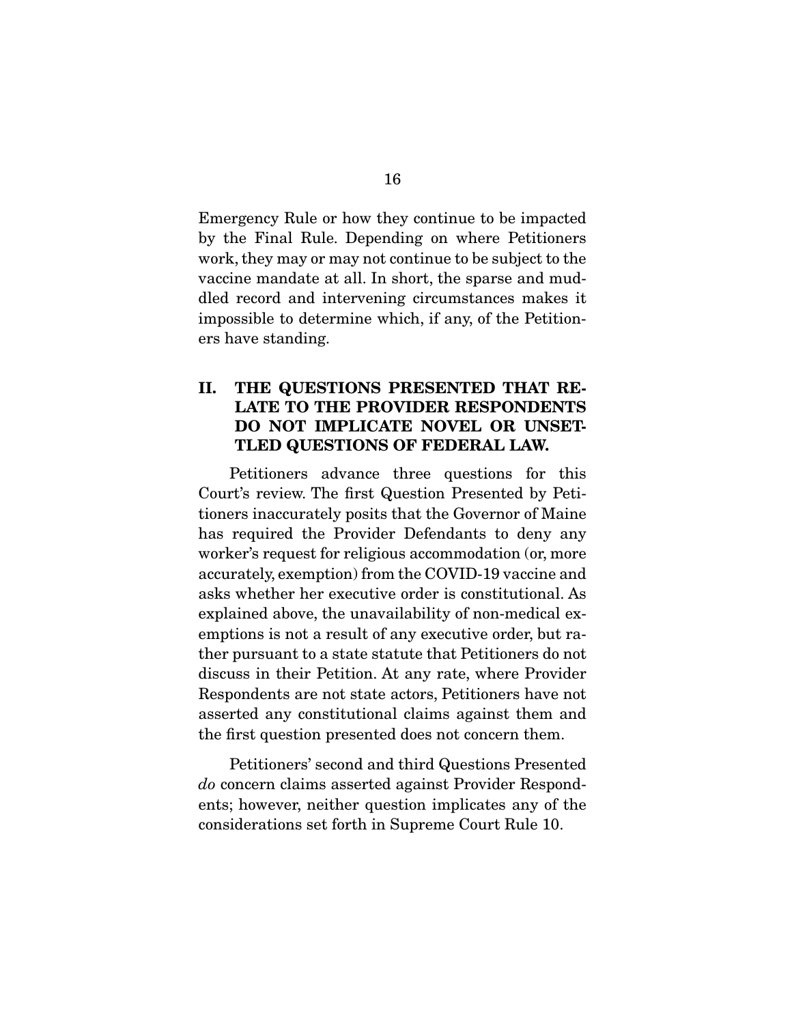Emergency Rule or how they continue to be impacted by the Final Rule. Depending on where Petitioners work, they may or may not continue to be subject to the vaccine mandate at all. In short, the sparse and muddled record and intervening circumstances makes it impossible to determine which, if any, of the Petitioners have standing.

### **II. THE QUESTIONS PRESENTED THAT RE-LATE TO THE PROVIDER RESPONDENTS DO NOT IMPLICATE NOVEL OR UNSET-TLED QUESTIONS OF FEDERAL LAW.**

 Petitioners advance three questions for this Court's review. The first Question Presented by Petitioners inaccurately posits that the Governor of Maine has required the Provider Defendants to deny any worker's request for religious accommodation (or, more accurately, exemption) from the COVID-19 vaccine and asks whether her executive order is constitutional. As explained above, the unavailability of non-medical exemptions is not a result of any executive order, but rather pursuant to a state statute that Petitioners do not discuss in their Petition. At any rate, where Provider Respondents are not state actors, Petitioners have not asserted any constitutional claims against them and the first question presented does not concern them.

 Petitioners' second and third Questions Presented do concern claims asserted against Provider Respondents; however, neither question implicates any of the considerations set forth in Supreme Court Rule 10.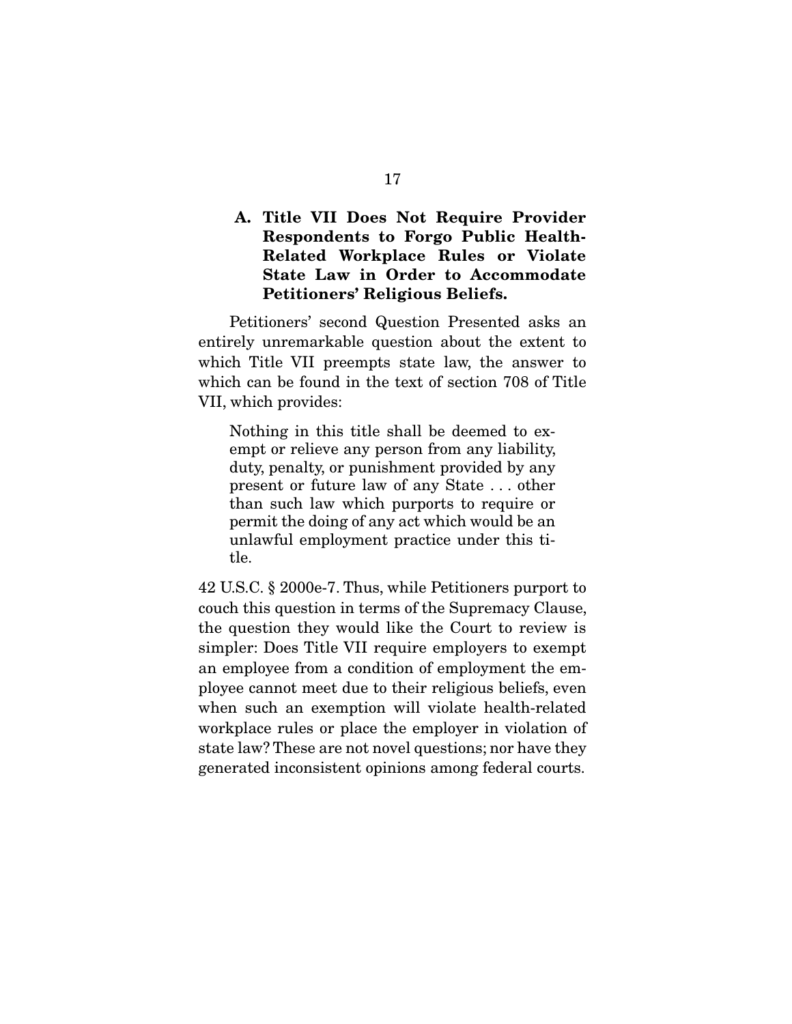## **A. Title VII Does Not Require Provider Respondents to Forgo Public Health-Related Workplace Rules or Violate State Law in Order to Accommodate Petitioners' Religious Beliefs.**

 Petitioners' second Question Presented asks an entirely unremarkable question about the extent to which Title VII preempts state law, the answer to which can be found in the text of section 708 of Title VII, which provides:

Nothing in this title shall be deemed to exempt or relieve any person from any liability, duty, penalty, or punishment provided by any present or future law of any State . . . other than such law which purports to require or permit the doing of any act which would be an unlawful employment practice under this title.

42 U.S.C. § 2000e-7. Thus, while Petitioners purport to couch this question in terms of the Supremacy Clause, the question they would like the Court to review is simpler: Does Title VII require employers to exempt an employee from a condition of employment the employee cannot meet due to their religious beliefs, even when such an exemption will violate health-related workplace rules or place the employer in violation of state law? These are not novel questions; nor have they generated inconsistent opinions among federal courts.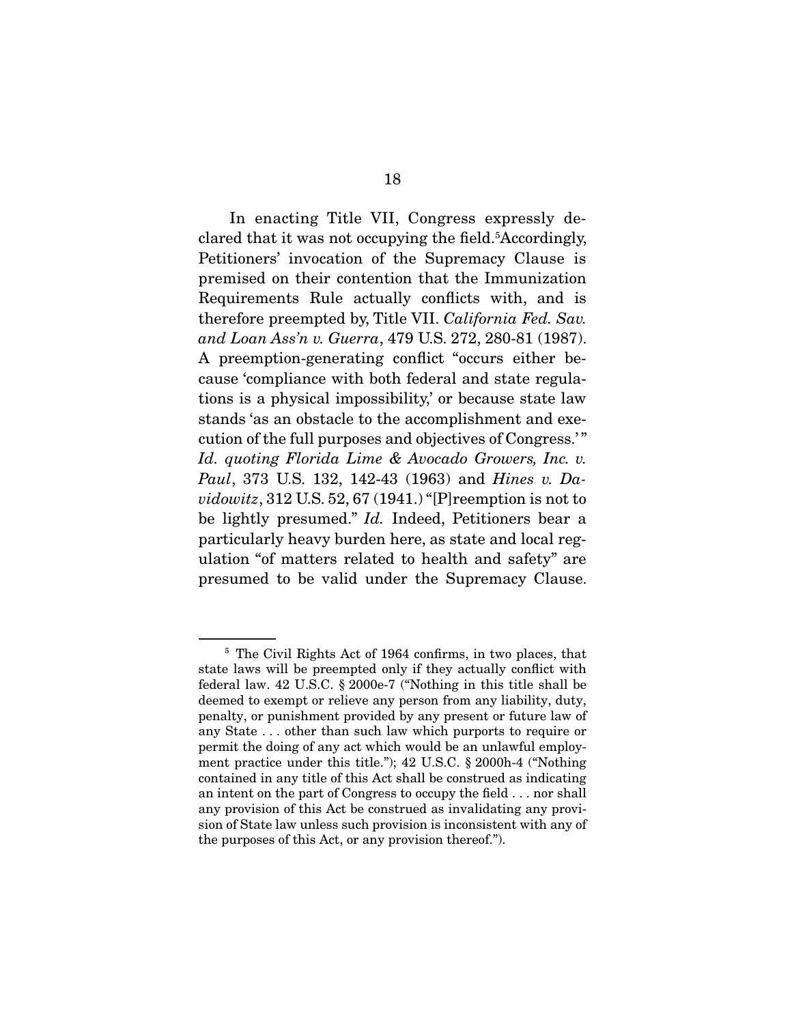In enacting Title VII, Congress expressly declared that it was not occupying the field.<sup>5</sup>Accordingly, Petitioners' invocation of the Supremacy Clause is premised on their contention that the Immunization Requirements Rule actually conflicts with, and is therefore preempted by, Title VII. California Fed. Sav. and Loan Ass'n v. Guerra, 479 U.S. 272, 280-81 (1987). A preemption-generating conflict "occurs either because 'compliance with both federal and state regulations is a physical impossibility,' or because state law stands 'as an obstacle to the accomplishment and execution of the full purposes and objectives of Congress.' " Id. quoting Florida Lime & Avocado Growers, Inc. v. Paul, 373 U.S. 132, 142-43 (1963) and Hines v. Davidowitz, 312 U.S. 52, 67  $(1941.)$  "[P] reemption is not to be lightly presumed." Id. Indeed, Petitioners bear a particularly heavy burden here, as state and local regulation "of matters related to health and safety" are presumed to be valid under the Supremacy Clause.

<sup>5</sup> The Civil Rights Act of 1964 confirms, in two places, that state laws will be preempted only if they actually conflict with federal law. 42 U.S.C. § 2000e-7 ("Nothing in this title shall be deemed to exempt or relieve any person from any liability, duty, penalty, or punishment provided by any present or future law of any State . . . other than such law which purports to require or permit the doing of any act which would be an unlawful employment practice under this title."); 42 U.S.C. § 2000h-4 ("Nothing contained in any title of this Act shall be construed as indicating an intent on the part of Congress to occupy the field . . . nor shall any provision of this Act be construed as invalidating any provision of State law unless such provision is inconsistent with any of the purposes of this Act, or any provision thereof.").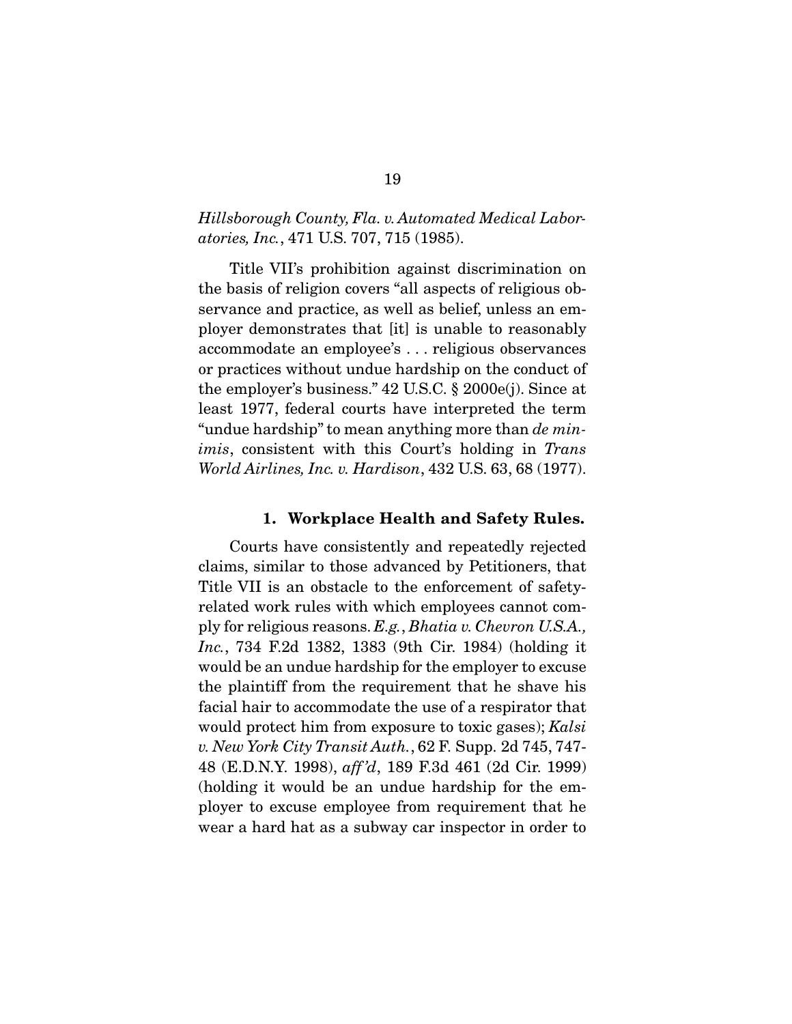### Hillsborough County, Fla. v. Automated Medical Laboratories, Inc., 471 U.S. 707, 715 (1985).

 Title VII's prohibition against discrimination on the basis of religion covers "all aspects of religious observance and practice, as well as belief, unless an employer demonstrates that [it] is unable to reasonably accommodate an employee's . . . religious observances or practices without undue hardship on the conduct of the employer's business." 42 U.S.C. § 2000e(j). Since at least 1977, federal courts have interpreted the term "undue hardship" to mean anything more than de minimis, consistent with this Court's holding in Trans World Airlines, Inc. v. Hardison, 432 U.S. 63, 68 (1977).

#### **1. Workplace Health and Safety Rules.**

 Courts have consistently and repeatedly rejected claims, similar to those advanced by Petitioners, that Title VII is an obstacle to the enforcement of safetyrelated work rules with which employees cannot comply for religious reasons. E.g., Bhatia v. Chevron U.S.A., Inc., 734 F.2d 1382, 1383 (9th Cir. 1984) (holding it would be an undue hardship for the employer to excuse the plaintiff from the requirement that he shave his facial hair to accommodate the use of a respirator that would protect him from exposure to toxic gases); Kalsi v. New York City Transit Auth., 62 F. Supp. 2d 745, 747- 48 (E.D.N.Y. 1998), aff 'd, 189 F.3d 461 (2d Cir. 1999) (holding it would be an undue hardship for the employer to excuse employee from requirement that he wear a hard hat as a subway car inspector in order to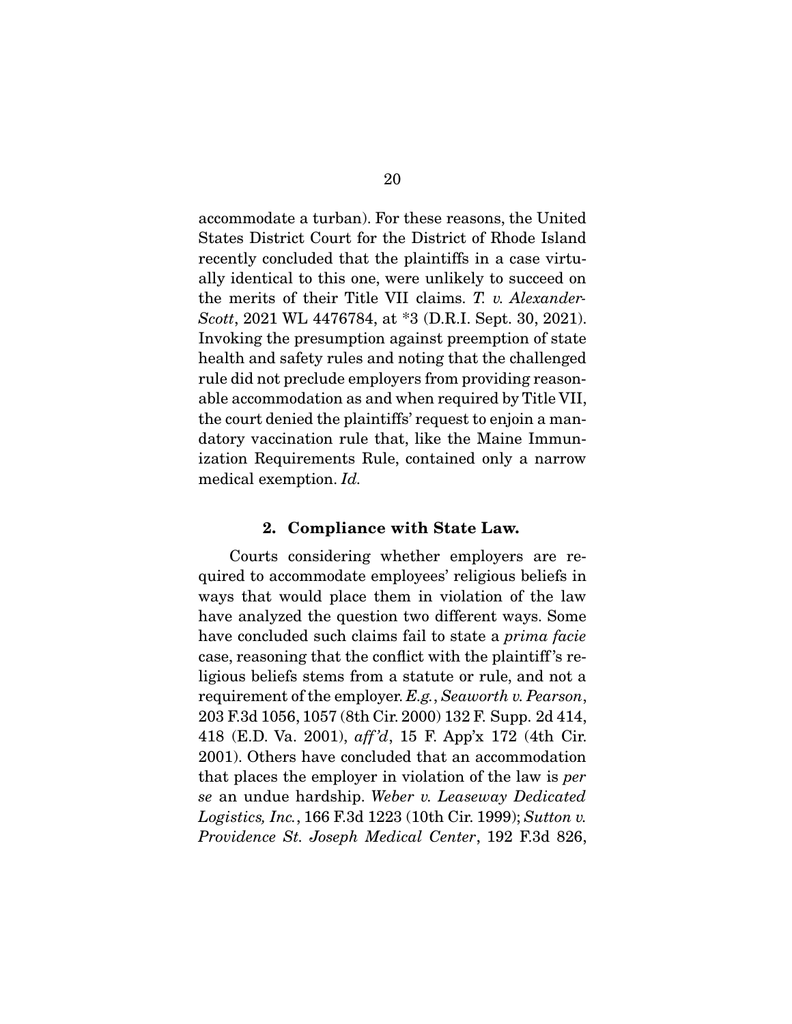accommodate a turban). For these reasons, the United States District Court for the District of Rhode Island recently concluded that the plaintiffs in a case virtually identical to this one, were unlikely to succeed on the merits of their Title VII claims. T. v. Alexander-Scott, 2021 WL 4476784, at \*3 (D.R.I. Sept. 30, 2021). Invoking the presumption against preemption of state health and safety rules and noting that the challenged rule did not preclude employers from providing reasonable accommodation as and when required by Title VII, the court denied the plaintiffs' request to enjoin a mandatory vaccination rule that, like the Maine Immunization Requirements Rule, contained only a narrow medical exemption. Id.

#### **2. Compliance with State Law.**

 Courts considering whether employers are required to accommodate employees' religious beliefs in ways that would place them in violation of the law have analyzed the question two different ways. Some have concluded such claims fail to state a *prima facie* case, reasoning that the conflict with the plaintiff 's religious beliefs stems from a statute or rule, and not a requirement of the employer. E.g., Seaworth v. Pearson, 203 F.3d 1056, 1057 (8th Cir. 2000) 132 F. Supp. 2d 414, 418 (E.D. Va. 2001), aff 'd, 15 F. App'x 172 (4th Cir. 2001). Others have concluded that an accommodation that places the employer in violation of the law is per se an undue hardship. Weber v. Leaseway Dedicated Logistics, Inc., 166 F.3d 1223 (10th Cir. 1999); Sutton v. Providence St. Joseph Medical Center, 192 F.3d 826,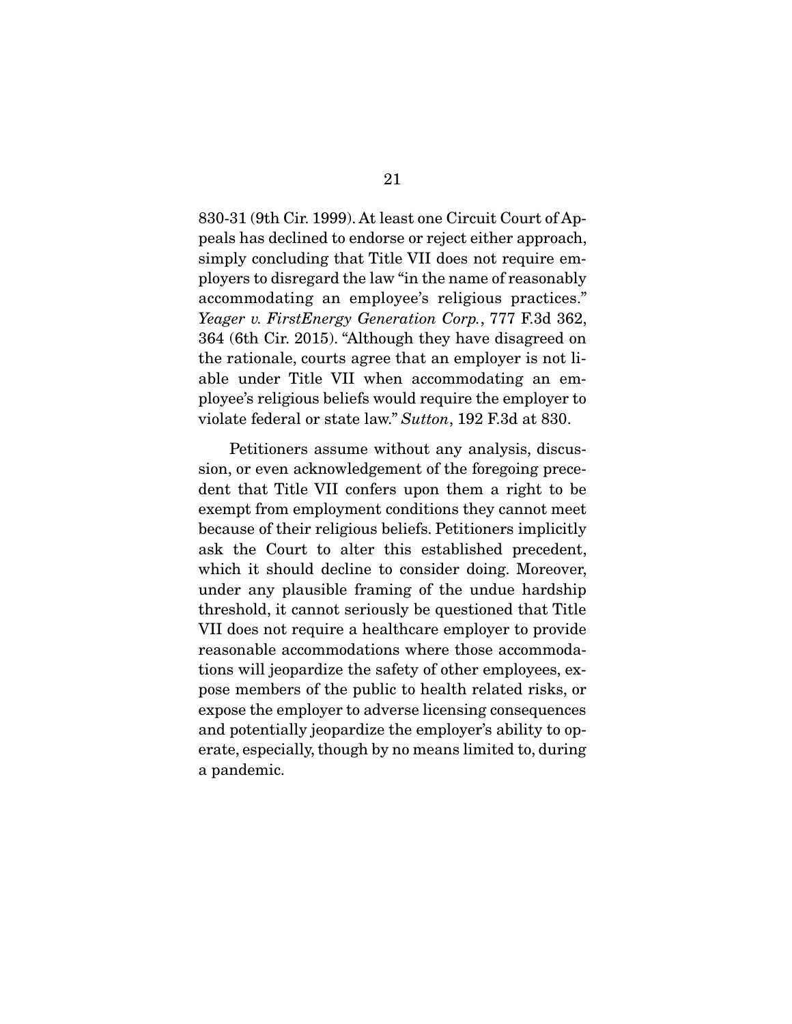830-31 (9th Cir. 1999). At least one Circuit Court of Appeals has declined to endorse or reject either approach, simply concluding that Title VII does not require employers to disregard the law "in the name of reasonably accommodating an employee's religious practices." Yeager v. FirstEnergy Generation Corp., 777 F.3d 362, 364 (6th Cir. 2015). "Although they have disagreed on the rationale, courts agree that an employer is not liable under Title VII when accommodating an employee's religious beliefs would require the employer to violate federal or state law." Sutton, 192 F.3d at 830.

 Petitioners assume without any analysis, discussion, or even acknowledgement of the foregoing precedent that Title VII confers upon them a right to be exempt from employment conditions they cannot meet because of their religious beliefs. Petitioners implicitly ask the Court to alter this established precedent, which it should decline to consider doing. Moreover, under any plausible framing of the undue hardship threshold, it cannot seriously be questioned that Title VII does not require a healthcare employer to provide reasonable accommodations where those accommodations will jeopardize the safety of other employees, expose members of the public to health related risks, or expose the employer to adverse licensing consequences and potentially jeopardize the employer's ability to operate, especially, though by no means limited to, during a pandemic.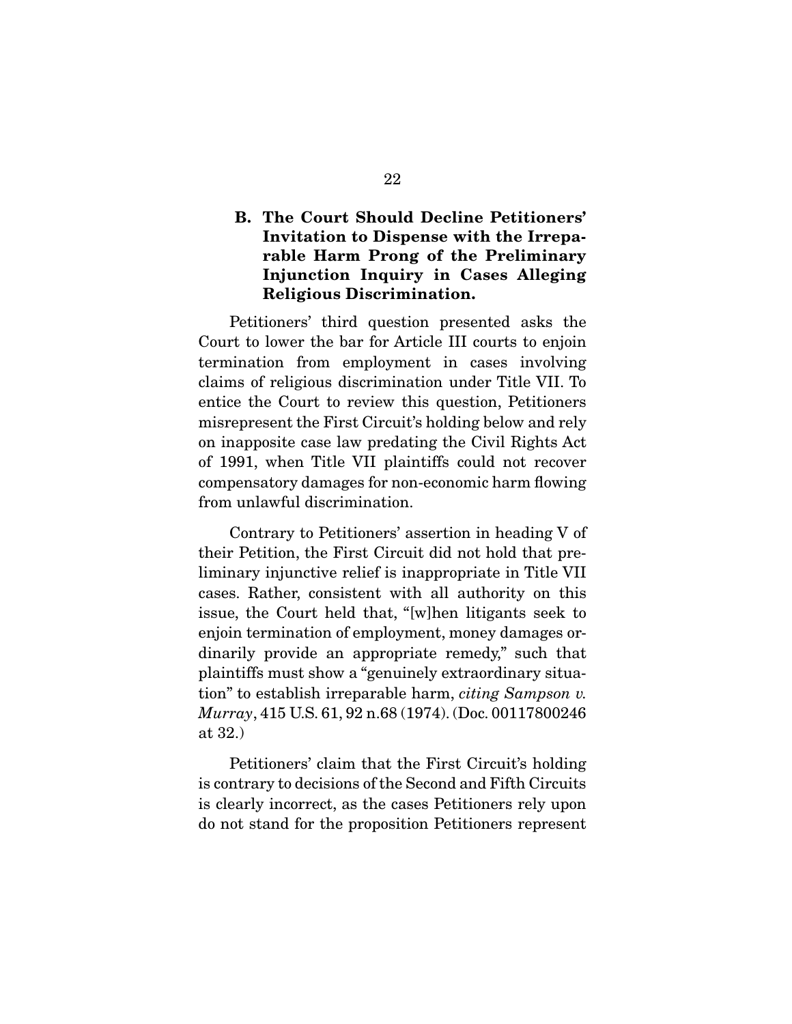## **B. The Court Should Decline Petitioners' Invitation to Dispense with the Irreparable Harm Prong of the Preliminary Injunction Inquiry in Cases Alleging Religious Discrimination.**

 Petitioners' third question presented asks the Court to lower the bar for Article III courts to enjoin termination from employment in cases involving claims of religious discrimination under Title VII. To entice the Court to review this question, Petitioners misrepresent the First Circuit's holding below and rely on inapposite case law predating the Civil Rights Act of 1991, when Title VII plaintiffs could not recover compensatory damages for non-economic harm flowing from unlawful discrimination.

 Contrary to Petitioners' assertion in heading V of their Petition, the First Circuit did not hold that preliminary injunctive relief is inappropriate in Title VII cases. Rather, consistent with all authority on this issue, the Court held that, "[w]hen litigants seek to enjoin termination of employment, money damages ordinarily provide an appropriate remedy," such that plaintiffs must show a "genuinely extraordinary situation" to establish irreparable harm, citing Sampson v. Murray, 415 U.S. 61, 92 n.68 (1974). (Doc. 00117800246 at 32.)

 Petitioners' claim that the First Circuit's holding is contrary to decisions of the Second and Fifth Circuits is clearly incorrect, as the cases Petitioners rely upon do not stand for the proposition Petitioners represent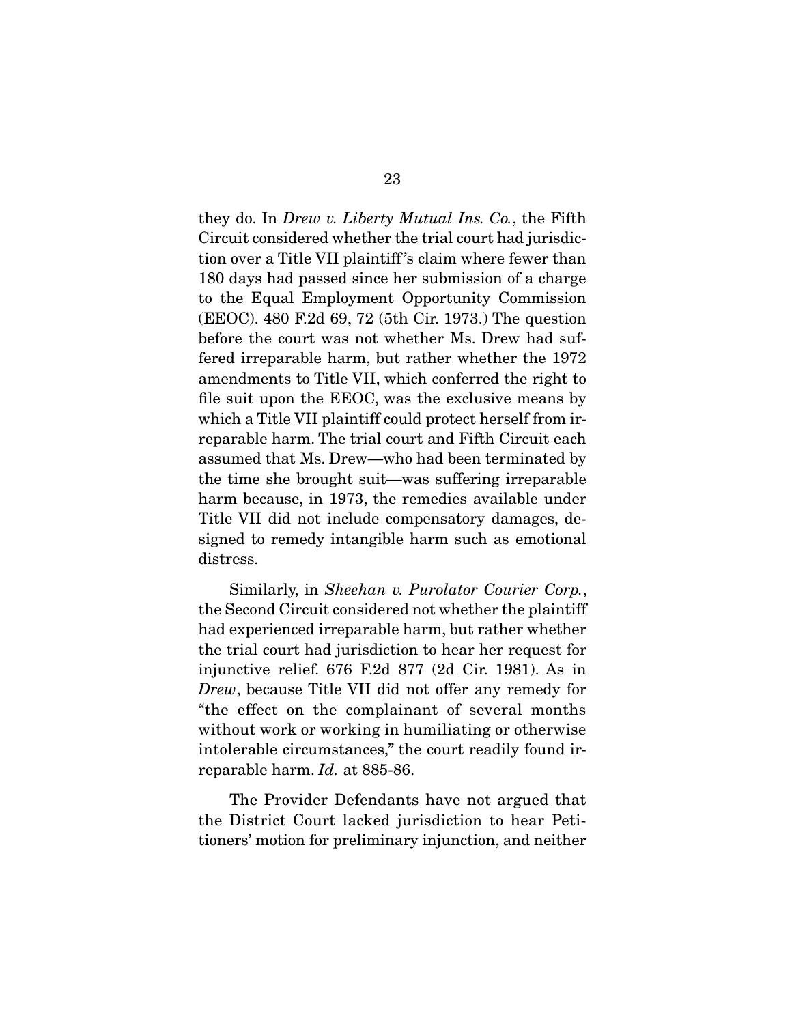they do. In Drew v. Liberty Mutual Ins. Co., the Fifth Circuit considered whether the trial court had jurisdiction over a Title VII plaintiff 's claim where fewer than 180 days had passed since her submission of a charge to the Equal Employment Opportunity Commission (EEOC). 480 F.2d 69, 72 (5th Cir. 1973.) The question before the court was not whether Ms. Drew had suffered irreparable harm, but rather whether the 1972 amendments to Title VII, which conferred the right to file suit upon the EEOC, was the exclusive means by which a Title VII plaintiff could protect herself from irreparable harm. The trial court and Fifth Circuit each assumed that Ms. Drew—who had been terminated by the time she brought suit—was suffering irreparable harm because, in 1973, the remedies available under Title VII did not include compensatory damages, designed to remedy intangible harm such as emotional distress.

Similarly, in Sheehan v. Purolator Courier Corp., the Second Circuit considered not whether the plaintiff had experienced irreparable harm, but rather whether the trial court had jurisdiction to hear her request for injunctive relief. 676 F.2d 877 (2d Cir. 1981). As in Drew, because Title VII did not offer any remedy for "the effect on the complainant of several months without work or working in humiliating or otherwise intolerable circumstances," the court readily found irreparable harm. Id. at 885-86.

 The Provider Defendants have not argued that the District Court lacked jurisdiction to hear Petitioners' motion for preliminary injunction, and neither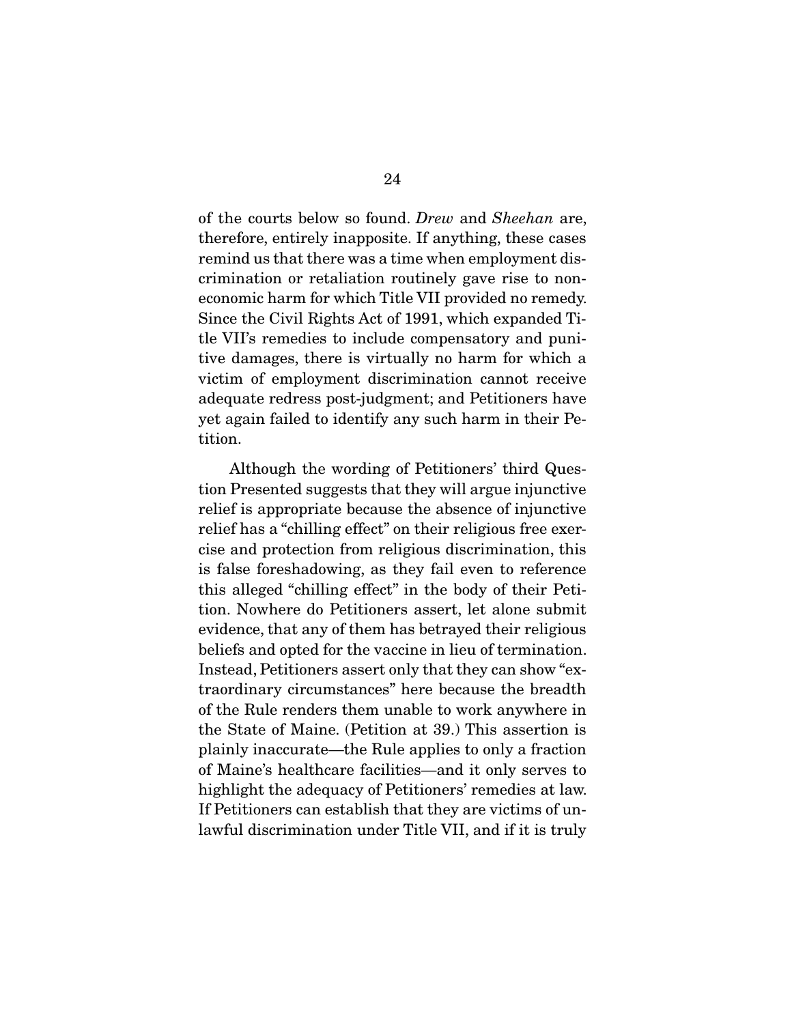of the courts below so found. Drew and Sheehan are, therefore, entirely inapposite. If anything, these cases remind us that there was a time when employment discrimination or retaliation routinely gave rise to noneconomic harm for which Title VII provided no remedy. Since the Civil Rights Act of 1991, which expanded Title VII's remedies to include compensatory and punitive damages, there is virtually no harm for which a victim of employment discrimination cannot receive adequate redress post-judgment; and Petitioners have yet again failed to identify any such harm in their Petition.

 Although the wording of Petitioners' third Question Presented suggests that they will argue injunctive relief is appropriate because the absence of injunctive relief has a "chilling effect" on their religious free exercise and protection from religious discrimination, this is false foreshadowing, as they fail even to reference this alleged "chilling effect" in the body of their Petition. Nowhere do Petitioners assert, let alone submit evidence, that any of them has betrayed their religious beliefs and opted for the vaccine in lieu of termination. Instead, Petitioners assert only that they can show "extraordinary circumstances" here because the breadth of the Rule renders them unable to work anywhere in the State of Maine. (Petition at 39.) This assertion is plainly inaccurate—the Rule applies to only a fraction of Maine's healthcare facilities—and it only serves to highlight the adequacy of Petitioners' remedies at law. If Petitioners can establish that they are victims of unlawful discrimination under Title VII, and if it is truly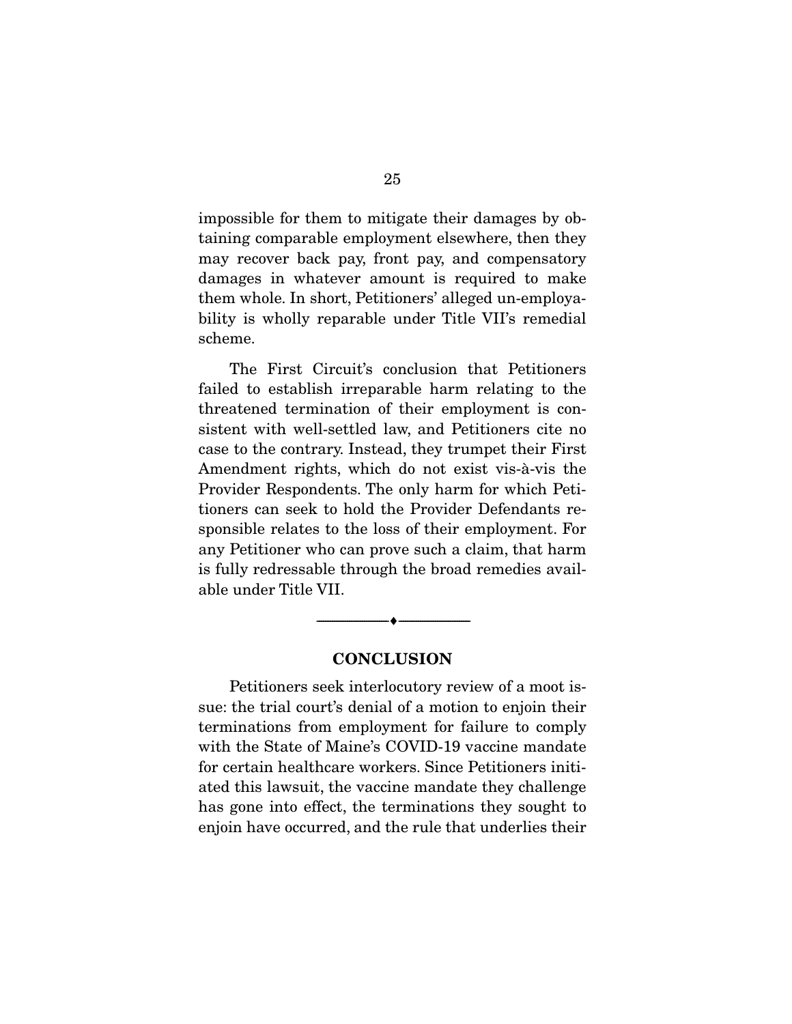impossible for them to mitigate their damages by obtaining comparable employment elsewhere, then they may recover back pay, front pay, and compensatory damages in whatever amount is required to make them whole. In short, Petitioners' alleged un-employability is wholly reparable under Title VII's remedial scheme.

 The First Circuit's conclusion that Petitioners failed to establish irreparable harm relating to the threatened termination of their employment is consistent with well-settled law, and Petitioners cite no case to the contrary. Instead, they trumpet their First Amendment rights, which do not exist vis-à-vis the Provider Respondents. The only harm for which Petitioners can seek to hold the Provider Defendants responsible relates to the loss of their employment. For any Petitioner who can prove such a claim, that harm is fully redressable through the broad remedies available under Title VII.

#### **CONCLUSION**

 $\overbrace{\hspace{2.5cm}}^{\bullet}$   $\overbrace{\hspace{2.5cm}}^{\bullet}$ 

 Petitioners seek interlocutory review of a moot issue: the trial court's denial of a motion to enjoin their terminations from employment for failure to comply with the State of Maine's COVID-19 vaccine mandate for certain healthcare workers. Since Petitioners initiated this lawsuit, the vaccine mandate they challenge has gone into effect, the terminations they sought to enjoin have occurred, and the rule that underlies their